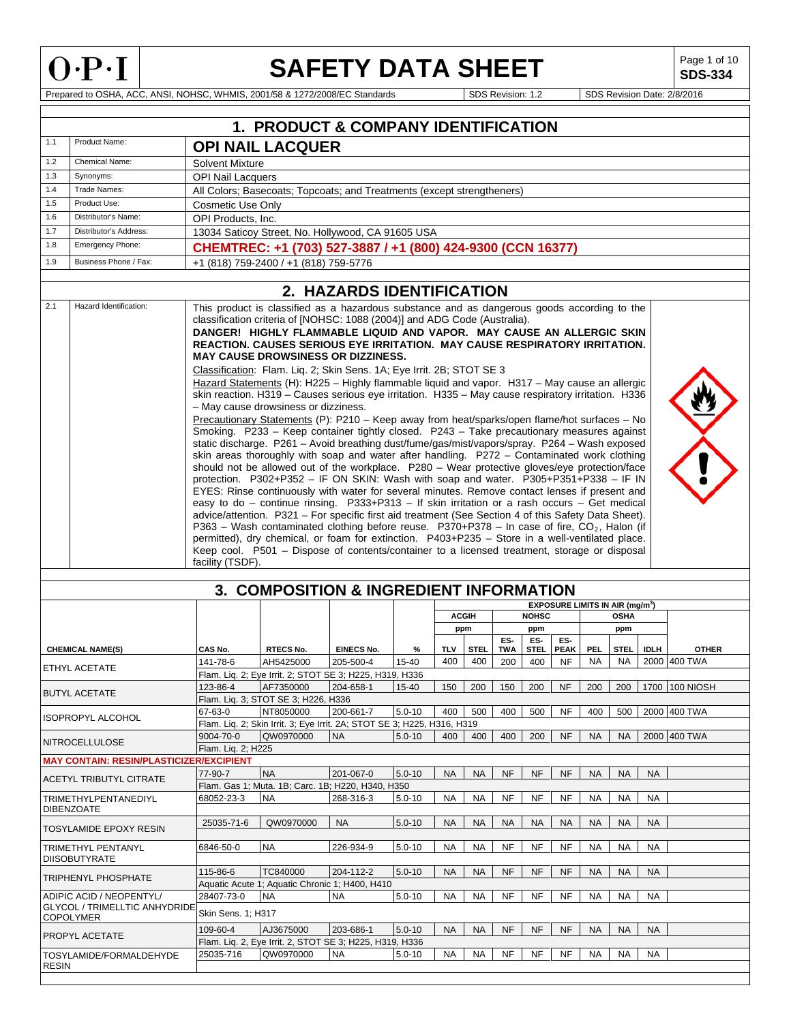

**SDS-334**

|       |                                                                                                                                                                                                                                                                                                                                                                                                                                                                                                                                                                                                                                                                                                                                                                                                                                                                                                                                                                                                                                                                                                                                                                                                                                                                                                                                                                                                                                                                                                                                                                                                                                                                                                                                                                                                                                                                                                                                     |                                 | 1. PRODUCT & COMPANY IDENTIFICATION                                     |                   |            |              |             |                   |                    |                    |                                             |             |             |                    |
|-------|-------------------------------------------------------------------------------------------------------------------------------------------------------------------------------------------------------------------------------------------------------------------------------------------------------------------------------------------------------------------------------------------------------------------------------------------------------------------------------------------------------------------------------------------------------------------------------------------------------------------------------------------------------------------------------------------------------------------------------------------------------------------------------------------------------------------------------------------------------------------------------------------------------------------------------------------------------------------------------------------------------------------------------------------------------------------------------------------------------------------------------------------------------------------------------------------------------------------------------------------------------------------------------------------------------------------------------------------------------------------------------------------------------------------------------------------------------------------------------------------------------------------------------------------------------------------------------------------------------------------------------------------------------------------------------------------------------------------------------------------------------------------------------------------------------------------------------------------------------------------------------------------------------------------------------------|---------------------------------|-------------------------------------------------------------------------|-------------------|------------|--------------|-------------|-------------------|--------------------|--------------------|---------------------------------------------|-------------|-------------|--------------------|
| 1.1   | Product Name:                                                                                                                                                                                                                                                                                                                                                                                                                                                                                                                                                                                                                                                                                                                                                                                                                                                                                                                                                                                                                                                                                                                                                                                                                                                                                                                                                                                                                                                                                                                                                                                                                                                                                                                                                                                                                                                                                                                       |                                 | <b>OPI NAIL LACQUER</b>                                                 |                   |            |              |             |                   |                    |                    |                                             |             |             |                    |
| 1.2   | Chemical Name:                                                                                                                                                                                                                                                                                                                                                                                                                                                                                                                                                                                                                                                                                                                                                                                                                                                                                                                                                                                                                                                                                                                                                                                                                                                                                                                                                                                                                                                                                                                                                                                                                                                                                                                                                                                                                                                                                                                      | <b>Solvent Mixture</b>          |                                                                         |                   |            |              |             |                   |                    |                    |                                             |             |             |                    |
| 1.3   | Synonyms:                                                                                                                                                                                                                                                                                                                                                                                                                                                                                                                                                                                                                                                                                                                                                                                                                                                                                                                                                                                                                                                                                                                                                                                                                                                                                                                                                                                                                                                                                                                                                                                                                                                                                                                                                                                                                                                                                                                           | <b>OPI Nail Lacquers</b>        |                                                                         |                   |            |              |             |                   |                    |                    |                                             |             |             |                    |
| 1.4   | Trade Names:                                                                                                                                                                                                                                                                                                                                                                                                                                                                                                                                                                                                                                                                                                                                                                                                                                                                                                                                                                                                                                                                                                                                                                                                                                                                                                                                                                                                                                                                                                                                                                                                                                                                                                                                                                                                                                                                                                                        |                                 | All Colors; Basecoats; Topcoats; and Treatments (except strengtheners)  |                   |            |              |             |                   |                    |                    |                                             |             |             |                    |
| 1.5   | Product Use:                                                                                                                                                                                                                                                                                                                                                                                                                                                                                                                                                                                                                                                                                                                                                                                                                                                                                                                                                                                                                                                                                                                                                                                                                                                                                                                                                                                                                                                                                                                                                                                                                                                                                                                                                                                                                                                                                                                        | <b>Cosmetic Use Only</b>        |                                                                         |                   |            |              |             |                   |                    |                    |                                             |             |             |                    |
| 1.6   | Distributor's Name:                                                                                                                                                                                                                                                                                                                                                                                                                                                                                                                                                                                                                                                                                                                                                                                                                                                                                                                                                                                                                                                                                                                                                                                                                                                                                                                                                                                                                                                                                                                                                                                                                                                                                                                                                                                                                                                                                                                 | OPI Products, Inc.              |                                                                         |                   |            |              |             |                   |                    |                    |                                             |             |             |                    |
| 1.7   | Distributor's Address:                                                                                                                                                                                                                                                                                                                                                                                                                                                                                                                                                                                                                                                                                                                                                                                                                                                                                                                                                                                                                                                                                                                                                                                                                                                                                                                                                                                                                                                                                                                                                                                                                                                                                                                                                                                                                                                                                                              |                                 | 13034 Saticoy Street, No. Hollywood, CA 91605 USA                       |                   |            |              |             |                   |                    |                    |                                             |             |             |                    |
| 1.8   | Emergency Phone:                                                                                                                                                                                                                                                                                                                                                                                                                                                                                                                                                                                                                                                                                                                                                                                                                                                                                                                                                                                                                                                                                                                                                                                                                                                                                                                                                                                                                                                                                                                                                                                                                                                                                                                                                                                                                                                                                                                    |                                 | CHEMTREC: +1 (703) 527-3887 / +1 (800) 424-9300 (CCN 16377)             |                   |            |              |             |                   |                    |                    |                                             |             |             |                    |
| 1.9   | Business Phone / Fax:                                                                                                                                                                                                                                                                                                                                                                                                                                                                                                                                                                                                                                                                                                                                                                                                                                                                                                                                                                                                                                                                                                                                                                                                                                                                                                                                                                                                                                                                                                                                                                                                                                                                                                                                                                                                                                                                                                               |                                 | +1 (818) 759-2400 / +1 (818) 759-5776                                   |                   |            |              |             |                   |                    |                    |                                             |             |             |                    |
|       |                                                                                                                                                                                                                                                                                                                                                                                                                                                                                                                                                                                                                                                                                                                                                                                                                                                                                                                                                                                                                                                                                                                                                                                                                                                                                                                                                                                                                                                                                                                                                                                                                                                                                                                                                                                                                                                                                                                                     |                                 |                                                                         |                   |            |              |             |                   |                    |                    |                                             |             |             |                    |
|       |                                                                                                                                                                                                                                                                                                                                                                                                                                                                                                                                                                                                                                                                                                                                                                                                                                                                                                                                                                                                                                                                                                                                                                                                                                                                                                                                                                                                                                                                                                                                                                                                                                                                                                                                                                                                                                                                                                                                     |                                 | 2. HAZARDS IDENTIFICATION                                               |                   |            |              |             |                   |                    |                    |                                             |             |             |                    |
| 2.1   | Hazard Identification:<br>This product is classified as a hazardous substance and as dangerous goods according to the<br>classification criteria of [NOHSC: 1088 (2004)] and ADG Code (Australia).<br>DANGER! HIGHLY FLAMMABLE LIQUID AND VAPOR. MAY CAUSE AN ALLERGIC SKIN<br>REACTION. CAUSES SERIOUS EYE IRRITATION. MAY CAUSE RESPIRATORY IRRITATION.<br><b>MAY CAUSE DROWSINESS OR DIZZINESS.</b><br>Classification: Flam. Lig. 2; Skin Sens. 1A; Eye Irrit. 2B; STOT SE 3<br>Hazard Statements (H): H225 - Highly flammable liquid and vapor. H317 - May cause an allergic<br>skin reaction. H319 - Causes serious eye irritation. H335 - May cause respiratory irritation. H336<br>- May cause drowsiness or dizziness.<br>Precautionary Statements (P): P210 - Keep away from heat/sparks/open flame/hot surfaces - No<br>Smoking. P233 - Keep container tightly closed. P243 - Take precautionary measures against<br>static discharge. P261 - Avoid breathing dust/fume/gas/mist/vapors/spray. P264 - Wash exposed<br>skin areas thoroughly with soap and water after handling. P272 - Contaminated work clothing<br>should not be allowed out of the workplace. P280 - Wear protective gloves/eye protection/face<br>protection. P302+P352 - IF ON SKIN: Wash with soap and water. P305+P351+P338 - IF IN<br>EYES: Rinse continuously with water for several minutes. Remove contact lenses if present and<br>easy to do - continue rinsing. P333+P313 - If skin irritation or a rash occurs - Get medical<br>advice/attention. P321 - For specific first aid treatment (See Section 4 of this Safety Data Sheet).<br>P363 – Wash contaminated clothing before reuse. P370+P378 – In case of fire, $CO_2$ , Halon (if<br>permitted), dry chemical, or foam for extinction. P403+P235 - Store in a well-ventilated place.<br>Keep cool. P501 - Dispose of contents/container to a licensed treatment, storage or disposal |                                 |                                                                         |                   |            |              |             |                   |                    |                    |                                             |             |             |                    |
|       |                                                                                                                                                                                                                                                                                                                                                                                                                                                                                                                                                                                                                                                                                                                                                                                                                                                                                                                                                                                                                                                                                                                                                                                                                                                                                                                                                                                                                                                                                                                                                                                                                                                                                                                                                                                                                                                                                                                                     | facility (TSDF).                |                                                                         |                   |            |              |             |                   |                    |                    |                                             |             |             |                    |
|       |                                                                                                                                                                                                                                                                                                                                                                                                                                                                                                                                                                                                                                                                                                                                                                                                                                                                                                                                                                                                                                                                                                                                                                                                                                                                                                                                                                                                                                                                                                                                                                                                                                                                                                                                                                                                                                                                                                                                     |                                 | 3. COMPOSITION & INGREDIENT INFORMATION                                 |                   |            |              |             |                   |                    |                    |                                             |             |             |                    |
|       |                                                                                                                                                                                                                                                                                                                                                                                                                                                                                                                                                                                                                                                                                                                                                                                                                                                                                                                                                                                                                                                                                                                                                                                                                                                                                                                                                                                                                                                                                                                                                                                                                                                                                                                                                                                                                                                                                                                                     |                                 |                                                                         |                   |            |              |             |                   |                    |                    | EXPOSURE LIMITS IN AIR (mg/m <sup>3</sup> ) |             |             |                    |
|       |                                                                                                                                                                                                                                                                                                                                                                                                                                                                                                                                                                                                                                                                                                                                                                                                                                                                                                                                                                                                                                                                                                                                                                                                                                                                                                                                                                                                                                                                                                                                                                                                                                                                                                                                                                                                                                                                                                                                     |                                 |                                                                         |                   |            | <b>ACGIH</b> |             |                   | <b>NOHSC</b>       |                    |                                             | <b>OSHA</b> |             |                    |
|       |                                                                                                                                                                                                                                                                                                                                                                                                                                                                                                                                                                                                                                                                                                                                                                                                                                                                                                                                                                                                                                                                                                                                                                                                                                                                                                                                                                                                                                                                                                                                                                                                                                                                                                                                                                                                                                                                                                                                     |                                 |                                                                         |                   |            | ppm          |             |                   | ppm                |                    |                                             | ppm         |             |                    |
|       | <b>CHEMICAL NAME(S)</b>                                                                                                                                                                                                                                                                                                                                                                                                                                                                                                                                                                                                                                                                                                                                                                                                                                                                                                                                                                                                                                                                                                                                                                                                                                                                                                                                                                                                                                                                                                                                                                                                                                                                                                                                                                                                                                                                                                             | CAS No.                         | <b>RTECS No.</b>                                                        | <b>EINECS No.</b> | %          | <b>TLV</b>   | <b>STEL</b> | ES-<br><b>TWA</b> | ES-<br><b>STEL</b> | ES-<br><b>PEAK</b> | <b>PEL</b>                                  | <b>STEL</b> | <b>IDLH</b> | <b>OTHER</b>       |
|       |                                                                                                                                                                                                                                                                                                                                                                                                                                                                                                                                                                                                                                                                                                                                                                                                                                                                                                                                                                                                                                                                                                                                                                                                                                                                                                                                                                                                                                                                                                                                                                                                                                                                                                                                                                                                                                                                                                                                     | 141-78-6                        | AH5425000                                                               | 205-500-4         | 15-40      | 400          | 400         | 200               | 400                | NF                 | NA                                          | NA          |             | 2000 400 TWA       |
|       | ETHYL ACETATE                                                                                                                                                                                                                                                                                                                                                                                                                                                                                                                                                                                                                                                                                                                                                                                                                                                                                                                                                                                                                                                                                                                                                                                                                                                                                                                                                                                                                                                                                                                                                                                                                                                                                                                                                                                                                                                                                                                       |                                 | Flam. Liq. 2; Eye Irrit. 2; STOT SE 3; H225, H319, H336                 |                   |            |              |             |                   |                    |                    |                                             |             |             |                    |
|       | <b>BUTYL ACETATE</b>                                                                                                                                                                                                                                                                                                                                                                                                                                                                                                                                                                                                                                                                                                                                                                                                                                                                                                                                                                                                                                                                                                                                                                                                                                                                                                                                                                                                                                                                                                                                                                                                                                                                                                                                                                                                                                                                                                                | 123-86-4                        | AF7350000                                                               | 204-658-1         | 15-40      |              | 150 200 150 |                   | 200                | NF                 | 200                                         |             |             | 200 1700 100 NIOSH |
|       |                                                                                                                                                                                                                                                                                                                                                                                                                                                                                                                                                                                                                                                                                                                                                                                                                                                                                                                                                                                                                                                                                                                                                                                                                                                                                                                                                                                                                                                                                                                                                                                                                                                                                                                                                                                                                                                                                                                                     |                                 | Flam. Lig. 3; STOT SE 3; H226, H336                                     |                   |            |              |             |                   |                    |                    |                                             |             |             |                    |
|       | ISOPROPYL ALCOHOL                                                                                                                                                                                                                                                                                                                                                                                                                                                                                                                                                                                                                                                                                                                                                                                                                                                                                                                                                                                                                                                                                                                                                                                                                                                                                                                                                                                                                                                                                                                                                                                                                                                                                                                                                                                                                                                                                                                   | 67-63-0                         | NT8050000                                                               | 200-661-7         | $5.0 - 10$ | 400          | 500         | 400               | 500                | NF                 | 400                                         | 500         |             | 2000 400 TWA       |
|       |                                                                                                                                                                                                                                                                                                                                                                                                                                                                                                                                                                                                                                                                                                                                                                                                                                                                                                                                                                                                                                                                                                                                                                                                                                                                                                                                                                                                                                                                                                                                                                                                                                                                                                                                                                                                                                                                                                                                     |                                 | Flam. Liq. 2; Skin Irrit. 3; Eye Irrit. 2A; STOT SE 3; H225, H316, H319 |                   |            |              |             |                   |                    |                    |                                             |             |             |                    |
|       | NITROCELLULOSE                                                                                                                                                                                                                                                                                                                                                                                                                                                                                                                                                                                                                                                                                                                                                                                                                                                                                                                                                                                                                                                                                                                                                                                                                                                                                                                                                                                                                                                                                                                                                                                                                                                                                                                                                                                                                                                                                                                      | 9004-70-0<br>Flam. Lig. 2; H225 | QW0970000                                                               | <b>NA</b>         | $5.0 - 10$ | 400          | 400         | 400               | 200                | <b>NF</b>          | <b>NA</b>                                   | <b>NA</b>   |             | 2000 400 TWA       |
|       | <b>MAY CONTAIN: RESIN/PLASTICIZER/EXCIPIENT</b>                                                                                                                                                                                                                                                                                                                                                                                                                                                                                                                                                                                                                                                                                                                                                                                                                                                                                                                                                                                                                                                                                                                                                                                                                                                                                                                                                                                                                                                                                                                                                                                                                                                                                                                                                                                                                                                                                     |                                 |                                                                         |                   |            |              |             |                   |                    |                    |                                             |             |             |                    |
|       |                                                                                                                                                                                                                                                                                                                                                                                                                                                                                                                                                                                                                                                                                                                                                                                                                                                                                                                                                                                                                                                                                                                                                                                                                                                                                                                                                                                                                                                                                                                                                                                                                                                                                                                                                                                                                                                                                                                                     | 77-90-7                         | <b>NA</b>                                                               | 201-067-0         | $5.0 - 10$ | <b>NA</b>    | <b>NA</b>   | <b>NF</b>         | <b>NF</b>          | <b>NF</b>          | <b>NA</b>                                   | <b>NA</b>   | <b>NA</b>   |                    |
|       | <b>ACETYL TRIBUTYL CITRATE</b>                                                                                                                                                                                                                                                                                                                                                                                                                                                                                                                                                                                                                                                                                                                                                                                                                                                                                                                                                                                                                                                                                                                                                                                                                                                                                                                                                                                                                                                                                                                                                                                                                                                                                                                                                                                                                                                                                                      |                                 | Flam. Gas 1; Muta. 1B; Carc. 1B; H220, H340, H350                       |                   |            |              |             |                   |                    |                    |                                             |             |             |                    |
|       | TRIMETHYLPENTANEDIYL                                                                                                                                                                                                                                                                                                                                                                                                                                                                                                                                                                                                                                                                                                                                                                                                                                                                                                                                                                                                                                                                                                                                                                                                                                                                                                                                                                                                                                                                                                                                                                                                                                                                                                                                                                                                                                                                                                                | 68052-23-3                      | <b>NA</b>                                                               | 268-316-3         | $5.0 - 10$ | NA           | <b>NA</b>   | NF                | NF                 | NF                 | <b>NA</b>                                   | <b>NA</b>   | <b>NA</b>   |                    |
|       | <b>DIBENZOATE</b>                                                                                                                                                                                                                                                                                                                                                                                                                                                                                                                                                                                                                                                                                                                                                                                                                                                                                                                                                                                                                                                                                                                                                                                                                                                                                                                                                                                                                                                                                                                                                                                                                                                                                                                                                                                                                                                                                                                   |                                 |                                                                         |                   |            |              |             |                   |                    |                    |                                             |             |             |                    |
|       | <b>TOSYLAMIDE EPOXY RESIN</b>                                                                                                                                                                                                                                                                                                                                                                                                                                                                                                                                                                                                                                                                                                                                                                                                                                                                                                                                                                                                                                                                                                                                                                                                                                                                                                                                                                                                                                                                                                                                                                                                                                                                                                                                                                                                                                                                                                       | 25035-71-6                      | QW0970000                                                               | <b>NA</b>         | $5.0 - 10$ | <b>NA</b>    | <b>NA</b>   | <b>NA</b>         | <b>NA</b>          | <b>NA</b>          | <b>NA</b>                                   | <b>NA</b>   | <b>NA</b>   |                    |
|       |                                                                                                                                                                                                                                                                                                                                                                                                                                                                                                                                                                                                                                                                                                                                                                                                                                                                                                                                                                                                                                                                                                                                                                                                                                                                                                                                                                                                                                                                                                                                                                                                                                                                                                                                                                                                                                                                                                                                     |                                 |                                                                         |                   |            |              |             |                   |                    |                    |                                             |             |             |                    |
|       | TRIMETHYL PENTANYL<br><b>DIISOBUTYRATE</b>                                                                                                                                                                                                                                                                                                                                                                                                                                                                                                                                                                                                                                                                                                                                                                                                                                                                                                                                                                                                                                                                                                                                                                                                                                                                                                                                                                                                                                                                                                                                                                                                                                                                                                                                                                                                                                                                                          | 6846-50-0                       | <b>NA</b>                                                               | 226-934-9         | $5.0 - 10$ | <b>NA</b>    | <b>NA</b>   | NF                | NF                 | NF                 | <b>NA</b>                                   | <b>NA</b>   | <b>NA</b>   |                    |
|       |                                                                                                                                                                                                                                                                                                                                                                                                                                                                                                                                                                                                                                                                                                                                                                                                                                                                                                                                                                                                                                                                                                                                                                                                                                                                                                                                                                                                                                                                                                                                                                                                                                                                                                                                                                                                                                                                                                                                     | 115-86-6                        | TC840000                                                                | 204-112-2         | $5.0 - 10$ | <b>NA</b>    | <b>NA</b>   | <b>NF</b>         | <b>NF</b>          | NF                 | <b>NA</b>                                   | <b>NA</b>   | <b>NA</b>   |                    |
|       | <b>TRIPHENYL PHOSPHATE</b>                                                                                                                                                                                                                                                                                                                                                                                                                                                                                                                                                                                                                                                                                                                                                                                                                                                                                                                                                                                                                                                                                                                                                                                                                                                                                                                                                                                                                                                                                                                                                                                                                                                                                                                                                                                                                                                                                                          |                                 | Aquatic Acute 1; Aquatic Chronic 1; H400, H410                          |                   |            |              |             |                   |                    |                    |                                             |             |             |                    |
|       | ADIPIC ACID / NEOPENTYL/                                                                                                                                                                                                                                                                                                                                                                                                                                                                                                                                                                                                                                                                                                                                                                                                                                                                                                                                                                                                                                                                                                                                                                                                                                                                                                                                                                                                                                                                                                                                                                                                                                                                                                                                                                                                                                                                                                            | 28407-73-0                      | <b>NA</b>                                                               | <b>NA</b>         | $5.0 - 10$ | <b>NA</b>    | <b>NA</b>   | NF                | NF                 | NF                 | <b>NA</b>                                   | <b>NA</b>   | <b>NA</b>   |                    |
|       | <b>GLYCOL / TRIMELLTIC ANHYDRIDE</b>                                                                                                                                                                                                                                                                                                                                                                                                                                                                                                                                                                                                                                                                                                                                                                                                                                                                                                                                                                                                                                                                                                                                                                                                                                                                                                                                                                                                                                                                                                                                                                                                                                                                                                                                                                                                                                                                                                | Skin Sens. 1; H317              |                                                                         |                   |            |              |             |                   |                    |                    |                                             |             |             |                    |
|       | <b>COPOLYMER</b>                                                                                                                                                                                                                                                                                                                                                                                                                                                                                                                                                                                                                                                                                                                                                                                                                                                                                                                                                                                                                                                                                                                                                                                                                                                                                                                                                                                                                                                                                                                                                                                                                                                                                                                                                                                                                                                                                                                    |                                 |                                                                         |                   |            |              |             |                   |                    |                    |                                             |             |             |                    |
|       | PROPYL ACETATE                                                                                                                                                                                                                                                                                                                                                                                                                                                                                                                                                                                                                                                                                                                                                                                                                                                                                                                                                                                                                                                                                                                                                                                                                                                                                                                                                                                                                                                                                                                                                                                                                                                                                                                                                                                                                                                                                                                      | 109-60-4                        | AJ3675000                                                               | 203-686-1         | $5.0 - 10$ | <b>NA</b>    | <b>NA</b>   | NF                | <b>NF</b>          | NF                 | <b>NA</b>                                   | <b>NA</b>   | <b>NA</b>   |                    |
|       | TOSYLAMIDE/FORMALDEHYDE                                                                                                                                                                                                                                                                                                                                                                                                                                                                                                                                                                                                                                                                                                                                                                                                                                                                                                                                                                                                                                                                                                                                                                                                                                                                                                                                                                                                                                                                                                                                                                                                                                                                                                                                                                                                                                                                                                             | 25035-716                       | Flam. Liq. 2, Eye Irrit. 2, STOT SE 3; H225, H319, H336<br>QW0970000    | <b>NA</b>         | $5.0 - 10$ | <b>NA</b>    | NA          | NF                | NF                 | NF                 | NA                                          | <b>NA</b>   | NA          |                    |
| RESIN |                                                                                                                                                                                                                                                                                                                                                                                                                                                                                                                                                                                                                                                                                                                                                                                                                                                                                                                                                                                                                                                                                                                                                                                                                                                                                                                                                                                                                                                                                                                                                                                                                                                                                                                                                                                                                                                                                                                                     |                                 |                                                                         |                   |            |              |             |                   |                    |                    |                                             |             |             |                    |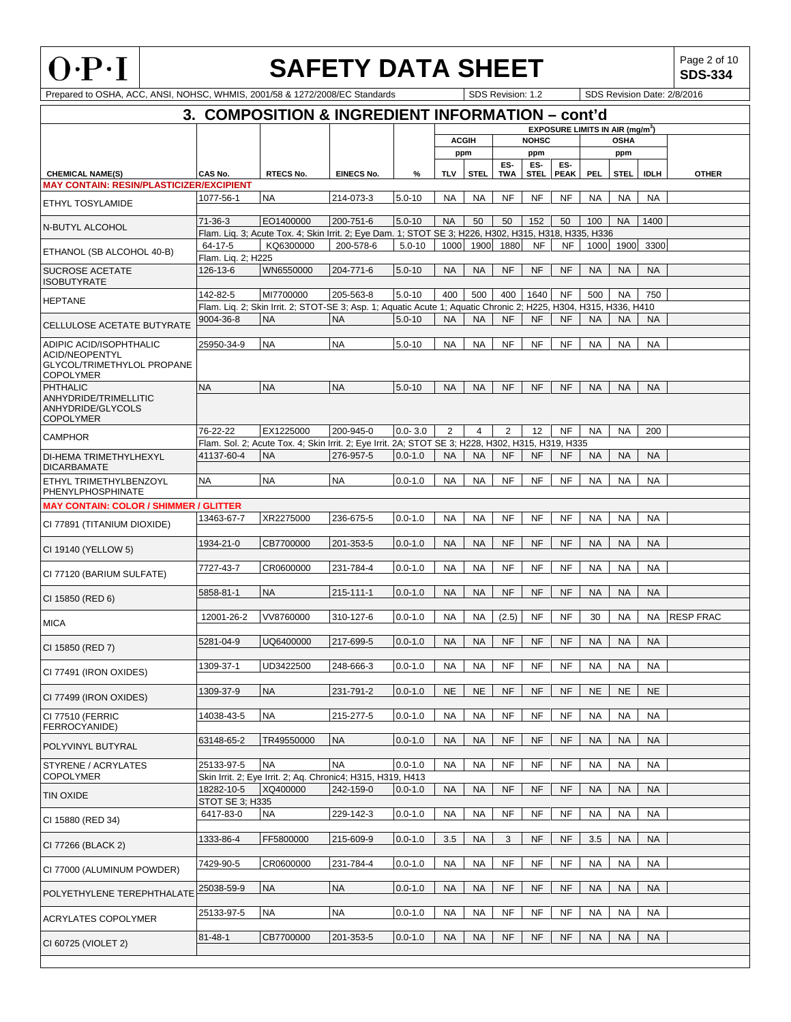

**SDS-334**

|                                                 |                              | Prepared to OSHA, ACC, ANSI, NOHSC, WHMIS, 2001/58 & 1272/2008/EC Standards                                       |                   |             |            |                | SDS Revision: 1.2 |                    |                    |            |                                                  | SDS Revision Date: 2/8/2016 |                  |  |  |
|-------------------------------------------------|------------------------------|-------------------------------------------------------------------------------------------------------------------|-------------------|-------------|------------|----------------|-------------------|--------------------|--------------------|------------|--------------------------------------------------|-----------------------------|------------------|--|--|
|                                                 |                              | 3. COMPOSITION & INGREDIENT INFORMATION - cont'd                                                                  |                   |             |            |                |                   |                    |                    |            |                                                  |                             |                  |  |  |
|                                                 |                              |                                                                                                                   |                   |             |            |                |                   |                    |                    |            | <b>EXPOSURE LIMITS IN AIR (mg/m<sup>3</sup>)</b> |                             |                  |  |  |
|                                                 |                              |                                                                                                                   |                   |             |            | <b>ACGIH</b>   |                   | <b>NOHSC</b>       |                    |            | <b>OSHA</b>                                      |                             |                  |  |  |
|                                                 |                              |                                                                                                                   |                   |             |            | ppm            |                   | ppm                |                    |            | ppm                                              |                             |                  |  |  |
| <b>CHEMICAL NAME(S)</b>                         | CAS No.                      | <b>RTECS No.</b>                                                                                                  | <b>EINECS No.</b> | %           | <b>TLV</b> | <b>STEL</b>    | ES-<br><b>TWA</b> | ES-<br><b>STEL</b> | ES-<br><b>PEAK</b> | <b>PEL</b> | <b>STEL</b>                                      | <b>IDLH</b>                 | <b>OTHER</b>     |  |  |
| <b>MAY CONTAIN: RESIN/PLASTICIZER/EXCIPIENT</b> |                              |                                                                                                                   |                   |             |            |                |                   |                    |                    |            |                                                  |                             |                  |  |  |
| ETHYL TOSYLAMIDE                                | 1077-56-1                    | <b>NA</b>                                                                                                         | 214-073-3         | $5.0 - 10$  | <b>NA</b>  | <b>NA</b>      | <b>NF</b>         | <b>NF</b>          | <b>NF</b>          | <b>NA</b>  | <b>NA</b>                                        | <b>NA</b>                   |                  |  |  |
|                                                 |                              |                                                                                                                   |                   |             |            |                |                   |                    |                    |            |                                                  |                             |                  |  |  |
| N-BUTYL ALCOHOL                                 | $71-36-3$                    | EO1400000                                                                                                         | 200-751-6         | $5.0 - 10$  | <b>NA</b>  | 50             | 50                | 152                | 50                 | 100        | <b>NA</b>                                        | 1400                        |                  |  |  |
|                                                 | 64-17-5                      | Flam. Liq. 3; Acute Tox. 4; Skin Irrit. 2; Eye Dam. 1; STOT SE 3; H226, H302, H315, H318, H335, H336<br>KQ6300000 | 200-578-6         | $5.0 - 10$  | 1000       | 1900           | 1880              | <b>NF</b>          | <b>NF</b>          | 1000       | 1900                                             | 3300                        |                  |  |  |
| ETHANOL (SB ALCOHOL 40-B)                       | Flam. Lig. 2; H225           |                                                                                                                   |                   |             |            |                |                   |                    |                    |            |                                                  |                             |                  |  |  |
| SUCROSE ACETATE                                 | 126-13-6                     | WN6550000                                                                                                         | 204-771-6         | $5.0 - 10$  | <b>NA</b>  | <b>NA</b>      | <b>NF</b>         | <b>NF</b>          | <b>NF</b>          | <b>NA</b>  | <b>NA</b>                                        | <b>NA</b>                   |                  |  |  |
| <b>ISOBUTYRATE</b>                              |                              |                                                                                                                   |                   |             |            |                |                   |                    |                    |            |                                                  |                             |                  |  |  |
| <b>HEPTANE</b>                                  | 142-82-5                     | MI7700000                                                                                                         | 205-563-8         | $5.0 - 10$  | 400        | 500            | 400               | 1640               | NF                 | 500        | <b>NA</b>                                        | 750                         |                  |  |  |
|                                                 |                              | Flam. Lig. 2; Skin Irrit. 2; STOT-SE 3; Asp. 1; Aquatic Acute 1; Aquatic Chronic 2; H225, H304, H315, H336, H410  |                   |             |            |                |                   |                    |                    |            |                                                  |                             |                  |  |  |
| CELLULOSE ACETATE BUTYRATE                      | 9004-36-8                    | <b>NA</b>                                                                                                         | <b>NA</b>         | $5.0 - 10$  | <b>NA</b>  | <b>NA</b>      | <b>NF</b>         | <b>NF</b>          | <b>NF</b>          | <b>NA</b>  | <b>NA</b>                                        | <b>NA</b>                   |                  |  |  |
| ADIPIC ACID/ISOPHTHALIC                         | 25950-34-9                   | <b>NA</b>                                                                                                         | <b>NA</b>         | $5.0 - 10$  | <b>NA</b>  | <b>NA</b>      | <b>NF</b>         | NF                 | NF                 | <b>NA</b>  | <b>NA</b>                                        | <b>NA</b>                   |                  |  |  |
| ACID/NEOPENTYL                                  |                              |                                                                                                                   |                   |             |            |                |                   |                    |                    |            |                                                  |                             |                  |  |  |
| GLYCOL/TRIMETHYLOL PROPANE                      |                              |                                                                                                                   |                   |             |            |                |                   |                    |                    |            |                                                  |                             |                  |  |  |
| <b>COPOLYMER</b><br><b>PHTHALIC</b>             | <b>NA</b>                    | <b>NA</b>                                                                                                         | <b>NA</b>         | $5.0 - 10$  | <b>NA</b>  | <b>NA</b>      | <b>NF</b>         | <b>NF</b>          | <b>NF</b>          | <b>NA</b>  | <b>NA</b>                                        | <b>NA</b>                   |                  |  |  |
| ANHYDRIDE/TRIMELLITIC                           |                              |                                                                                                                   |                   |             |            |                |                   |                    |                    |            |                                                  |                             |                  |  |  |
| ANHYDRIDE/GLYCOLS                               |                              |                                                                                                                   |                   |             |            |                |                   |                    |                    |            |                                                  |                             |                  |  |  |
| <b>COPOLYMER</b>                                | 76-22-22                     | EX1225000                                                                                                         | 200-945-0         | $0.0 - 3.0$ | 2          | $\overline{4}$ | 2                 | 12                 | <b>NF</b>          |            |                                                  |                             |                  |  |  |
| <b>CAMPHOR</b>                                  |                              | Flam. Sol. 2; Acute Tox. 4; Skin Irrit. 2; Eye Irrit. 2A; STOT SE 3; H228, H302, H315, H319, H335                 |                   |             |            |                |                   |                    |                    | <b>NA</b>  | <b>NA</b>                                        | 200                         |                  |  |  |
| DI-HEMA TRIMETHYLHEXYL                          | 41137-60-4                   | <b>NA</b>                                                                                                         | 276-957-5         | $0.0 - 1.0$ | <b>NA</b>  | <b>NA</b>      | <b>NF</b>         | <b>NF</b>          | <b>NF</b>          | <b>NA</b>  | <b>NA</b>                                        | <b>NA</b>                   |                  |  |  |
| <b>DICARBAMATE</b>                              |                              |                                                                                                                   |                   |             |            |                |                   |                    |                    |            |                                                  |                             |                  |  |  |
| ETHYL TRIMETHYLBENZOYL                          | <b>NA</b>                    | <b>NA</b>                                                                                                         | <b>NA</b>         | $0.0 - 1.0$ | <b>NA</b>  | <b>NA</b>      | <b>NF</b>         | NF                 | NF                 | <b>NA</b>  | <b>NA</b>                                        | <b>NA</b>                   |                  |  |  |
| PHENYLPHOSPHINATE                               |                              |                                                                                                                   |                   |             |            |                |                   |                    |                    |            |                                                  |                             |                  |  |  |
| <b>MAY CONTAIN: COLOR / SHIMMER / GLITTER</b>   |                              |                                                                                                                   |                   |             |            |                |                   |                    |                    |            |                                                  |                             |                  |  |  |
| CI 77891 (TITANIUM DIOXIDE)                     | 13463-67-7                   | XR2275000                                                                                                         | 236-675-5         | $0.0 - 1.0$ | <b>NA</b>  | <b>NA</b>      | <b>NF</b>         | <b>NF</b>          | NF                 | <b>NA</b>  | <b>NA</b>                                        | <b>NA</b>                   |                  |  |  |
|                                                 | 1934-21-0                    | CB7700000                                                                                                         | 201-353-5         | $0.0 - 1.0$ | <b>NA</b>  | <b>NA</b>      | <b>NF</b>         | <b>NF</b>          | <b>NF</b>          | <b>NA</b>  | <b>NA</b>                                        | <b>NA</b>                   |                  |  |  |
| CI 19140 (YELLOW 5)                             |                              |                                                                                                                   |                   |             |            |                |                   |                    |                    |            |                                                  |                             |                  |  |  |
|                                                 | 7727-43-7                    | CR0600000                                                                                                         | 231-784-4         | $0.0 - 1.0$ | <b>NA</b>  | <b>NA</b>      | NF                | <b>NF</b>          | NF                 | <b>NA</b>  | <b>NA</b>                                        | <b>NA</b>                   |                  |  |  |
| CI 77120 (BARIUM SULFATE)                       |                              |                                                                                                                   |                   |             |            |                |                   |                    |                    |            |                                                  |                             |                  |  |  |
| CI 15850 (RED 6)                                | 5858-81-1                    | <b>NA</b>                                                                                                         | 215-111-1         | $0.0 - 1.0$ | <b>NA</b>  | <b>NA</b>      | <b>NF</b>         | <b>NF</b>          | <b>NF</b>          | <b>NA</b>  | <b>NA</b>                                        | <b>NA</b>                   |                  |  |  |
|                                                 |                              |                                                                                                                   |                   |             |            |                |                   |                    |                    |            |                                                  |                             |                  |  |  |
| <b>MICA</b>                                     | 12001-26-2                   | VV8760000                                                                                                         | 310-127-6         | $0.0 - 1.0$ | <b>NA</b>  | <b>NA</b>      | (2.5)             | NF                 | $\sf{NF}$          | 30         | <b>NA</b>                                        | <b>NA</b>                   | <b>RESP FRAC</b> |  |  |
|                                                 | 5281-04-9                    | UQ6400000                                                                                                         | 217-699-5         | $0.0 - 1.0$ | <b>NA</b>  | <b>NA</b>      | <b>NF</b>         | <b>NF</b>          | <b>NF</b>          | <b>NA</b>  | <b>NA</b>                                        | <b>NA</b>                   |                  |  |  |
| CI 15850 (RED 7)                                |                              |                                                                                                                   |                   |             |            |                |                   |                    |                    |            |                                                  |                             |                  |  |  |
| CI 77491 (IRON OXIDES)                          | 1309-37-1                    | UD3422500                                                                                                         | 248-666-3         | $0.0 - 1.0$ | <b>NA</b>  | <b>NA</b>      | <b>NF</b>         | <b>NF</b>          | <b>NF</b>          | NA         | NA                                               | <b>NA</b>                   |                  |  |  |
|                                                 |                              |                                                                                                                   |                   |             |            |                |                   |                    |                    |            |                                                  |                             |                  |  |  |
| CI 77499 (IRON OXIDES)                          | 1309-37-9                    | <b>NA</b>                                                                                                         | 231-791-2         | $0.0 - 1.0$ | <b>NE</b>  | <b>NE</b>      | <b>NF</b>         | <b>NF</b>          | <b>NF</b>          | <b>NE</b>  | <b>NE</b>                                        | <b>NE</b>                   |                  |  |  |
|                                                 | 14038-43-5                   | <b>NA</b>                                                                                                         | 215-277-5         | $0.0 - 1.0$ |            | <b>NA</b>      | <b>NF</b>         | <b>NF</b>          | <b>NF</b>          |            |                                                  | <b>NA</b>                   |                  |  |  |
| CI 77510 (FERRIC<br>FERROCYANIDE)               |                              |                                                                                                                   |                   |             | <b>NA</b>  |                |                   |                    |                    | <b>NA</b>  | <b>NA</b>                                        |                             |                  |  |  |
|                                                 | 63148-65-2                   | TR49550000                                                                                                        | <b>NA</b>         | $0.0 - 1.0$ | <b>NA</b>  | <b>NA</b>      | <b>NF</b>         | <b>NF</b>          | <b>NF</b>          | <b>NA</b>  | <b>NA</b>                                        | <b>NA</b>                   |                  |  |  |
| POLYVINYL BUTYRAL                               |                              |                                                                                                                   |                   |             |            |                |                   |                    |                    |            |                                                  |                             |                  |  |  |
| STYRENE / ACRYLATES                             | 25133-97-5                   | <b>NA</b>                                                                                                         | <b>NA</b>         | $0.0 - 1.0$ | <b>NA</b>  | <b>NA</b>      | <b>NF</b>         | NF                 | NF                 | <b>NA</b>  | <b>NA</b>                                        | <b>NA</b>                   |                  |  |  |
| <b>COPOLYMER</b>                                |                              | Skin Irrit. 2; Eye Irrit. 2; Aq. Chronic4; H315, H319, H413                                                       |                   |             |            |                |                   |                    |                    |            |                                                  |                             |                  |  |  |
| TIN OXIDE                                       | 18282-10-5                   | XQ400000                                                                                                          | 242-159-0         | $0.0 - 1.0$ | <b>NA</b>  | <b>NA</b>      | <b>NF</b>         | <b>NF</b>          | <b>NF</b>          | <b>NA</b>  | <b>NA</b>                                        | <b>NA</b>                   |                  |  |  |
|                                                 | STOT SE 3; H335<br>6417-83-0 | <b>NA</b>                                                                                                         | 229-142-3         | $0.0 - 1.0$ | <b>NA</b>  | <b>NA</b>      | NF                | <b>NF</b>          | <b>NF</b>          | <b>NA</b>  | <b>NA</b>                                        | <b>NA</b>                   |                  |  |  |
| CI 15880 (RED 34)                               |                              |                                                                                                                   |                   |             |            |                |                   |                    |                    |            |                                                  |                             |                  |  |  |
|                                                 | 1333-86-4                    | FF5800000                                                                                                         | 215-609-9         | $0.0 - 1.0$ | 3.5        | <b>NA</b>      | 3                 | <b>NF</b>          | <b>NF</b>          | 3.5        | <b>NA</b>                                        | <b>NA</b>                   |                  |  |  |
| CI 77266 (BLACK 2)                              |                              |                                                                                                                   |                   |             |            |                |                   |                    |                    |            |                                                  |                             |                  |  |  |
| CI 77000 (ALUMINUM POWDER)                      | 7429-90-5                    | CR0600000                                                                                                         | 231-784-4         | $0.0 - 1.0$ | <b>NA</b>  | <b>NA</b>      | <b>NF</b>         | <b>NF</b>          | <b>NF</b>          | <b>NA</b>  | <b>NA</b>                                        | <b>NA</b>                   |                  |  |  |
|                                                 |                              |                                                                                                                   |                   |             |            |                |                   |                    |                    |            |                                                  |                             |                  |  |  |
| POLYETHYLENE TEREPHTHALATE                      | 25038-59-9                   | <b>NA</b>                                                                                                         | <b>NA</b>         | $0.0 - 1.0$ | <b>NA</b>  | <b>NA</b>      | <b>NF</b>         | <b>NF</b>          | <b>NF</b>          | <b>NA</b>  | <b>NA</b>                                        | <b>NA</b>                   |                  |  |  |
|                                                 | 25133-97-5                   | <b>NA</b>                                                                                                         | <b>NA</b>         | $0.0 - 1.0$ | <b>NA</b>  | <b>NA</b>      | NF                | NF                 | <b>NF</b>          | <b>NA</b>  | <b>NA</b>                                        | <b>NA</b>                   |                  |  |  |
| <b>ACRYLATES COPOLYMER</b>                      |                              |                                                                                                                   |                   |             |            |                |                   |                    |                    |            |                                                  |                             |                  |  |  |
| CI 60725 (VIOLET 2)                             | $81 - 48 - 1$                | CB7700000                                                                                                         | 201-353-5         | $0.0 - 1.0$ | <b>NA</b>  | <b>NA</b>      | <b>NF</b>         | <b>NF</b>          | <b>NF</b>          | <b>NA</b>  | <b>NA</b>                                        | <b>NA</b>                   |                  |  |  |
|                                                 |                              |                                                                                                                   |                   |             |            |                |                   |                    |                    |            |                                                  |                             |                  |  |  |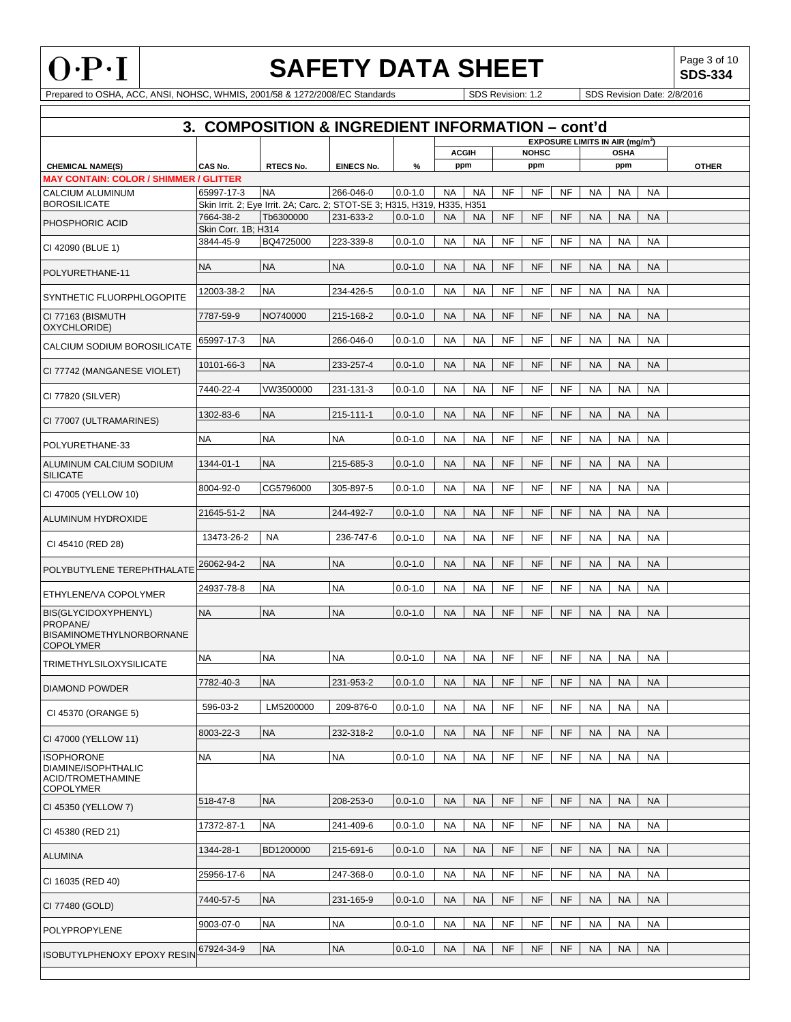

Г

# **SAFETY DATA SHEET**<br>1/5B & 1272/2008/EC Standards<br>1/5DS Revision: 1.2 SDS Revision Date: 2/8/2016

**SDS-334**

|                                               |                     | 3. COMPOSITION & INGREDIENT INFORMATION - cont'd                         |                   |             |              |           |           |              |           |                                             |             |           |              |
|-----------------------------------------------|---------------------|--------------------------------------------------------------------------|-------------------|-------------|--------------|-----------|-----------|--------------|-----------|---------------------------------------------|-------------|-----------|--------------|
|                                               |                     |                                                                          |                   |             |              |           |           |              |           | EXPOSURE LIMITS IN AIR (mg/m <sup>3</sup> ) |             |           |              |
|                                               |                     |                                                                          |                   |             | <b>ACGIH</b> |           |           | <b>NOHSC</b> |           |                                             | <b>OSHA</b> |           |              |
| <b>CHEMICAL NAME(S)</b>                       | CAS No.             | <b>RTECS No.</b>                                                         | <b>EINECS No.</b> | $\%$        | ppm          |           |           | ppm          |           |                                             | ppm         |           | <b>OTHER</b> |
| <b>MAY CONTAIN: COLOR / SHIMMER / GLITTER</b> |                     |                                                                          |                   |             |              |           |           |              |           |                                             |             |           |              |
| CALCIUM ALUMINUM                              | 65997-17-3          | <b>NA</b>                                                                | 266-046-0         | $0.0 - 1.0$ | <b>NA</b>    | <b>NA</b> | <b>NF</b> | NF           | NF        | <b>NA</b>                                   | <b>NA</b>   | <b>NA</b> |              |
| <b>BOROSILICATE</b>                           |                     | Skin Irrit. 2; Eye Irrit. 2A; Carc. 2; STOT-SE 3; H315, H319, H335, H351 |                   |             |              |           |           |              |           |                                             |             |           |              |
| PHOSPHORIC ACID                               | 7664-38-2           | Tb6300000                                                                | 231-633-2         | $0.0 - 1.0$ | <b>NA</b>    | <b>NA</b> | <b>NF</b> | <b>NF</b>    | <b>NF</b> | <b>NA</b>                                   | <b>NA</b>   | <b>NA</b> |              |
|                                               | Skin Corr. 1B; H314 |                                                                          |                   |             |              |           |           |              |           |                                             |             |           |              |
| CI 42090 (BLUE 1)                             | 3844-45-9           | BQ4725000                                                                | 223-339-8         | $0.0 - 1.0$ | <b>NA</b>    | <b>NA</b> | <b>NF</b> | <b>NF</b>    | <b>NF</b> | <b>NA</b>                                   | <b>NA</b>   | <b>NA</b> |              |
|                                               | <b>NA</b>           | <b>NA</b>                                                                | <b>NA</b>         | $0.0 - 1.0$ | <b>NA</b>    | <b>NA</b> | <b>NF</b> | <b>NF</b>    | <b>NF</b> | <b>NA</b>                                   | <b>NA</b>   | <b>NA</b> |              |
| POLYURETHANE-11                               |                     |                                                                          |                   |             |              |           |           |              |           |                                             |             |           |              |
|                                               | 12003-38-2          | <b>NA</b>                                                                | 234-426-5         | $0.0 - 1.0$ | <b>NA</b>    | <b>NA</b> | NF        | <b>NF</b>    | <b>NF</b> | <b>NA</b>                                   | <b>NA</b>   | <b>NA</b> |              |
| SYNTHETIC FLUORPHLOGOPITE                     |                     |                                                                          |                   |             |              |           |           |              |           |                                             |             |           |              |
| CI 77163 (BISMUTH                             | 7787-59-9           | NO740000                                                                 | 215-168-2         | $0.0 - 1.0$ | <b>NA</b>    | <b>NA</b> | <b>NF</b> | <b>NF</b>    | <b>NF</b> | <b>NA</b>                                   | <b>NA</b>   | <b>NA</b> |              |
| OXYCHLORIDE)                                  |                     |                                                                          |                   |             |              |           |           |              |           |                                             |             |           |              |
|                                               | 65997-17-3          | <b>NA</b>                                                                | 266-046-0         | $0.0 - 1.0$ | <b>NA</b>    | <b>NA</b> | <b>NF</b> | <b>NF</b>    | <b>NF</b> | <b>NA</b>                                   | <b>NA</b>   | <b>NA</b> |              |
| CALCIUM SODIUM BOROSILICATE                   |                     |                                                                          |                   |             |              |           |           |              |           |                                             |             |           |              |
|                                               | 10101-66-3          | <b>NA</b>                                                                | 233-257-4         | $0.0 - 1.0$ | <b>NA</b>    | <b>NA</b> | NF        | NF           | NF        | <b>NA</b>                                   | <b>NA</b>   | <b>NA</b> |              |
| CI 77742 (MANGANESE VIOLET)                   |                     |                                                                          |                   |             |              |           |           |              |           |                                             |             |           |              |
| CI 77820 (SILVER)                             | 7440-22-4           | VW3500000                                                                | 231-131-3         | $0.0 - 1.0$ | <b>NA</b>    | <b>NA</b> | NF        | <b>NF</b>    | <b>NF</b> | <b>NA</b>                                   | <b>NA</b>   | <b>NA</b> |              |
|                                               |                     |                                                                          |                   |             |              |           |           |              |           |                                             |             |           |              |
| CI 77007 (ULTRAMARINES)                       | 1302-83-6           | <b>NA</b>                                                                | 215-111-1         | $0.0 - 1.0$ | <b>NA</b>    | <b>NA</b> | <b>NF</b> | <b>NF</b>    | <b>NF</b> | <b>NA</b>                                   | <b>NA</b>   | <b>NA</b> |              |
|                                               |                     |                                                                          |                   |             |              |           |           |              |           |                                             |             |           |              |
| POLYURETHANE-33                               | <b>NA</b>           | <b>NA</b>                                                                | <b>NA</b>         | $0.0 - 1.0$ | <b>NA</b>    | <b>NA</b> | NF        | <b>NF</b>    | <b>NF</b> | <b>NA</b>                                   | <b>NA</b>   | <b>NA</b> |              |
|                                               |                     |                                                                          |                   |             |              |           |           |              |           |                                             |             |           |              |
| ALUMINUM CALCIUM SODIUM                       | 1344-01-1           | <b>NA</b>                                                                | 215-685-3         | $0.0 - 1.0$ | <b>NA</b>    | <b>NA</b> | <b>NF</b> | <b>NF</b>    | <b>NF</b> | <b>NA</b>                                   | <b>NA</b>   | <b>NA</b> |              |
| <b>SILICATE</b>                               |                     |                                                                          |                   |             |              |           |           |              |           |                                             |             |           |              |
| CI 47005 (YELLOW 10)                          | 8004-92-0           | CG5796000                                                                | 305-897-5         | $0.0 - 1.0$ | NA           | NA        | NF        | <b>NF</b>    | <b>NF</b> | <b>NA</b>                                   | NA          | <b>NA</b> |              |
|                                               | 21645-51-2          | <b>NA</b>                                                                | 244-492-7         | $0.0 - 1.0$ | <b>NA</b>    | <b>NA</b> | <b>NF</b> | <b>NF</b>    | <b>NF</b> | <b>NA</b>                                   | <b>NA</b>   | <b>NA</b> |              |
| ALUMINUM HYDROXIDE                            |                     |                                                                          |                   |             |              |           |           |              |           |                                             |             |           |              |
|                                               | 13473-26-2          | <b>NA</b>                                                                | 236-747-6         | $0.0 - 1.0$ | <b>NA</b>    | <b>NA</b> | <b>NF</b> | <b>NF</b>    | <b>NF</b> | <b>NA</b>                                   | <b>NA</b>   | <b>NA</b> |              |
| CI 45410 (RED 28)                             |                     |                                                                          |                   |             |              |           |           |              |           |                                             |             |           |              |
|                                               | 26062-94-2          | <b>NA</b>                                                                | <b>NA</b>         | $0.0 - 1.0$ | <b>NA</b>    | <b>NA</b> | <b>NF</b> | <b>NF</b>    | <b>NF</b> | <b>NA</b>                                   | <b>NA</b>   | <b>NA</b> |              |
| POLYBUTYLENE TEREPHTHALATE                    |                     |                                                                          |                   |             |              |           |           |              |           |                                             |             |           |              |
|                                               | 24937-78-8          | <b>NA</b>                                                                | <b>NA</b>         | $0.0 - 1.0$ | <b>NA</b>    | <b>NA</b> | <b>NF</b> | <b>NF</b>    | <b>NF</b> | <b>NA</b>                                   | <b>NA</b>   | <b>NA</b> |              |
| ETHYLENE/VA COPOLYMER                         |                     |                                                                          |                   |             |              |           |           |              |           |                                             |             |           |              |
| BIS(GLYCIDOXYPHENYL)                          | <b>NA</b>           | <b>NA</b>                                                                | <b>NA</b>         | $0.0 - 1.0$ | <b>NA</b>    | <b>NA</b> | <b>NF</b> | <b>NF</b>    | <b>NF</b> | <b>NA</b>                                   | <b>NA</b>   | <b>NA</b> |              |
| PROPANE/                                      |                     |                                                                          |                   |             |              |           |           |              |           |                                             |             |           |              |
| <b>BISAMINOMETHYLNORBORNANE</b>               |                     |                                                                          |                   |             |              |           |           |              |           |                                             |             |           |              |
| <b>COPOLYMER</b>                              |                     | <b>NA</b>                                                                |                   |             |              |           |           |              |           |                                             |             |           |              |
| <b>TRIMETHYLSILOXYSILICATE</b>                | <b>NA</b>           |                                                                          | <b>NA</b>         | $0.0 - 1.0$ | NA           | NA        | NF        | NF           | <b>NF</b> | <b>NA</b>                                   | <b>NA</b>   | <b>NA</b> |              |
|                                               | 7782-40-3           | <b>NA</b>                                                                | 231-953-2         | $0.0 - 1.0$ | <b>NA</b>    | <b>NA</b> | <b>NF</b> | <b>NF</b>    | NF        | <b>NA</b>                                   | <b>NA</b>   | <b>NA</b> |              |
| <b>DIAMOND POWDER</b>                         |                     |                                                                          |                   |             |              |           |           |              |           |                                             |             |           |              |
|                                               | 596-03-2            | LM5200000                                                                | 209-876-0         | $0.0 - 1.0$ | NA           | NA        | NF        | NF           | NF        | <b>NA</b>                                   | NA          | <b>NA</b> |              |
| CI 45370 (ORANGE 5)                           |                     |                                                                          |                   |             |              |           |           |              |           |                                             |             |           |              |
|                                               | 8003-22-3           | <b>NA</b>                                                                | 232-318-2         | $0.0 - 1.0$ | <b>NA</b>    | <b>NA</b> | <b>NF</b> | NF           | <b>NF</b> | <b>NA</b>                                   | <b>NA</b>   | <b>NA</b> |              |
| CI 47000 (YELLOW 11)                          |                     |                                                                          |                   |             |              |           |           |              |           |                                             |             |           |              |
| <b>ISOPHORONE</b>                             | <b>NA</b>           | <b>NA</b>                                                                | <b>NA</b>         | $0.0 - 1.0$ | <b>NA</b>    | <b>NA</b> | <b>NF</b> | <b>NF</b>    | <b>NF</b> | <b>NA</b>                                   | <b>NA</b>   | <b>NA</b> |              |
| DIAMINE/ISOPHTHALIC                           |                     |                                                                          |                   |             |              |           |           |              |           |                                             |             |           |              |
| ACID/TROMETHAMINE                             |                     |                                                                          |                   |             |              |           |           |              |           |                                             |             |           |              |
| <b>COPOLYMER</b>                              | 518-47-8            | <b>NA</b>                                                                | 208-253-0         |             | <b>NA</b>    | <b>NA</b> | <b>NF</b> | <b>NF</b>    | <b>NF</b> | <b>NA</b>                                   | <b>NA</b>   | <b>NA</b> |              |
| CI 45350 (YELLOW 7)                           |                     |                                                                          |                   | $0.0 - 1.0$ |              |           |           |              |           |                                             |             |           |              |
|                                               | 17372-87-1          | <b>NA</b>                                                                | 241-409-6         | $0.0 - 1.0$ | <b>NA</b>    | <b>NA</b> | NF        | <b>NF</b>    | NF        | <b>NA</b>                                   | <b>NA</b>   | <b>NA</b> |              |
| CI 45380 (RED 21)                             |                     |                                                                          |                   |             |              |           |           |              |           |                                             |             |           |              |
|                                               | 1344-28-1           | BD1200000                                                                | 215-691-6         | $0.0 - 1.0$ | <b>NA</b>    | <b>NA</b> | <b>NF</b> | <b>NF</b>    | <b>NF</b> | <b>NA</b>                                   | <b>NA</b>   | <b>NA</b> |              |
| <b>ALUMINA</b>                                |                     |                                                                          |                   |             |              |           |           |              |           |                                             |             |           |              |
|                                               | 25956-17-6          | <b>NA</b>                                                                | 247-368-0         | $0.0 - 1.0$ | <b>NA</b>    | <b>NA</b> | NF        | NF           | NF        | <b>NA</b>                                   | NA          | <b>NA</b> |              |
| CI 16035 (RED 40)                             |                     |                                                                          |                   |             |              |           |           |              |           |                                             |             |           |              |
|                                               | 7440-57-5           | <b>NA</b>                                                                | 231-165-9         | $0.0 - 1.0$ | <b>NA</b>    | <b>NA</b> | <b>NF</b> | <b>NF</b>    | <b>NF</b> | <b>NA</b>                                   | <b>NA</b>   | <b>NA</b> |              |
| CI 77480 (GOLD)                               |                     |                                                                          |                   |             |              |           |           |              |           |                                             |             |           |              |
| POLYPROPYLENE                                 | 9003-07-0           | <b>NA</b>                                                                | <b>NA</b>         | $0.0 - 1.0$ | <b>NA</b>    | <b>NA</b> | <b>NF</b> | NF           | NF        | <b>NA</b>                                   | NA          | <b>NA</b> |              |
|                                               |                     |                                                                          |                   |             |              |           |           |              |           |                                             |             |           |              |
| <b>ISOBUTYLPHENOXY EPOXY RESIN</b>            | 67924-34-9          | <b>NA</b>                                                                | <b>NA</b>         | $0.0 - 1.0$ | <b>NA</b>    | <b>NA</b> | <b>NF</b> | <b>NF</b>    | <b>NF</b> | <b>NA</b>                                   | <b>NA</b>   | <b>NA</b> |              |
|                                               |                     |                                                                          |                   |             |              |           |           |              |           |                                             |             |           |              |
|                                               |                     |                                                                          |                   |             |              |           |           |              |           |                                             |             |           |              |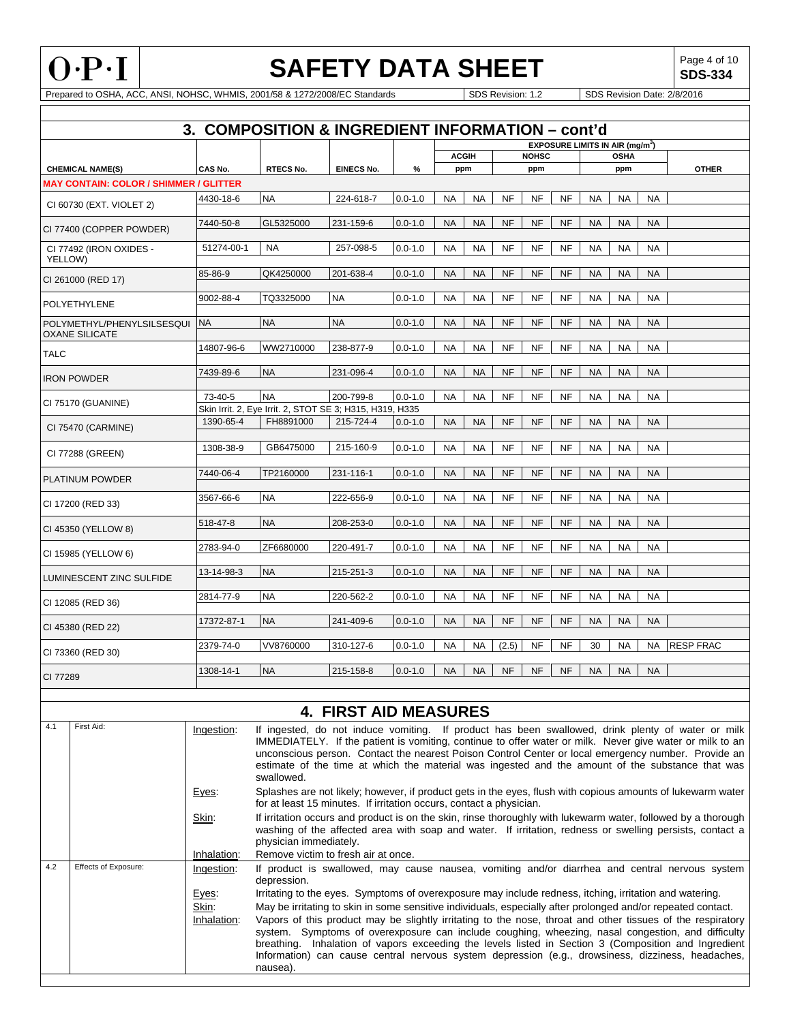

**SDS-334**

|                                                     |                                               |                | 3. COMPOSITION & INGREDIENT INFORMATION - cont'd                                                                                                                                                                        |                              |             |           |              |           |              |           |           |                                                  |           |                                                                                                                                                                                                                                                                                                                                                                                                                              |
|-----------------------------------------------------|-----------------------------------------------|----------------|-------------------------------------------------------------------------------------------------------------------------------------------------------------------------------------------------------------------------|------------------------------|-------------|-----------|--------------|-----------|--------------|-----------|-----------|--------------------------------------------------|-----------|------------------------------------------------------------------------------------------------------------------------------------------------------------------------------------------------------------------------------------------------------------------------------------------------------------------------------------------------------------------------------------------------------------------------------|
|                                                     |                                               |                |                                                                                                                                                                                                                         |                              |             |           |              |           |              |           |           | <b>EXPOSURE LIMITS IN AIR (mg/m<sup>3</sup>)</b> |           |                                                                                                                                                                                                                                                                                                                                                                                                                              |
|                                                     |                                               |                |                                                                                                                                                                                                                         |                              |             |           | <b>ACGIH</b> |           | <b>NOHSC</b> |           |           | <b>OSHA</b>                                      |           |                                                                                                                                                                                                                                                                                                                                                                                                                              |
|                                                     | <b>CHEMICAL NAME(S)</b>                       | CAS No.        | <b>RTECS No.</b>                                                                                                                                                                                                        | <b>EINECS No.</b>            | %           |           | ppm          |           | ppm          |           |           | ppm                                              |           | <b>OTHER</b>                                                                                                                                                                                                                                                                                                                                                                                                                 |
|                                                     | <b>MAY CONTAIN: COLOR / SHIMMER / GLITTER</b> |                |                                                                                                                                                                                                                         |                              |             |           |              |           |              |           |           |                                                  |           |                                                                                                                                                                                                                                                                                                                                                                                                                              |
|                                                     | CI 60730 (EXT. VIOLET 2)                      | 4430-18-6      | <b>NA</b>                                                                                                                                                                                                               | 224-618-7                    | $0.0 - 1.0$ | <b>NA</b> | NA           | <b>NF</b> | <b>NF</b>    | NF        | <b>NA</b> | NA                                               | <b>NA</b> |                                                                                                                                                                                                                                                                                                                                                                                                                              |
|                                                     | CI 77400 (COPPER POWDER)                      | 7440-50-8      | GL5325000                                                                                                                                                                                                               | 231-159-6                    | $0.0 - 1.0$ | <b>NA</b> | <b>NA</b>    | <b>NF</b> | <b>NF</b>    | <b>NF</b> | <b>NA</b> | <b>NA</b>                                        | <b>NA</b> |                                                                                                                                                                                                                                                                                                                                                                                                                              |
| YELLOW)                                             | CI 77492 (IRON OXIDES -                       | 51274-00-1     | NA                                                                                                                                                                                                                      | 257-098-5                    | $0.0 - 1.0$ | <b>NA</b> | NA           | <b>NF</b> | <b>NF</b>    | <b>NF</b> | <b>NA</b> | <b>NA</b>                                        | NA        |                                                                                                                                                                                                                                                                                                                                                                                                                              |
|                                                     | CI 261000 (RED 17)                            | 85-86-9        | QK4250000                                                                                                                                                                                                               | 201-638-4                    | $0.0 - 1.0$ | <b>NA</b> | <b>NA</b>    | <b>NF</b> | <b>NF</b>    | <b>NF</b> | <b>NA</b> | <b>NA</b>                                        | <b>NA</b> |                                                                                                                                                                                                                                                                                                                                                                                                                              |
|                                                     | <b>POLYETHYLENE</b>                           | 9002-88-4      | TQ3325000                                                                                                                                                                                                               | <b>NA</b>                    | $0.0 - 1.0$ | <b>NA</b> | <b>NA</b>    | NF        | NF           | NF        | <b>NA</b> | <b>NA</b>                                        | <b>NA</b> |                                                                                                                                                                                                                                                                                                                                                                                                                              |
| POLYMETHYL/PHENYLSILSESQUI<br><b>OXANE SILICATE</b> |                                               | <b>NA</b>      | <b>NA</b>                                                                                                                                                                                                               | <b>NA</b>                    | $0.0 - 1.0$ | <b>NA</b> | <b>NA</b>    | <b>NF</b> | <b>NF</b>    | <b>NF</b> | <b>NA</b> | <b>NA</b>                                        | <b>NA</b> |                                                                                                                                                                                                                                                                                                                                                                                                                              |
| <b>TALC</b>                                         |                                               | 14807-96-6     | WW2710000                                                                                                                                                                                                               | 238-877-9                    | $0.0 - 1.0$ | NA        | NA           | NF        | NF           | NF        | <b>NA</b> | NA                                               | <b>NA</b> |                                                                                                                                                                                                                                                                                                                                                                                                                              |
|                                                     | <b>IRON POWDER</b>                            | 7439-89-6      | <b>NA</b>                                                                                                                                                                                                               | 231-096-4                    | $0.0 - 1.0$ | <b>NA</b> | <b>NA</b>    | <b>NF</b> | <b>NF</b>    | <b>NF</b> | <b>NA</b> | <b>NA</b>                                        | <b>NA</b> |                                                                                                                                                                                                                                                                                                                                                                                                                              |
|                                                     | CI 75170 (GUANINE)                            | 73-40-5        | <b>NA</b><br>Skin Irrit. 2, Eye Irrit. 2, STOT SE 3; H315, H319, H335                                                                                                                                                   | 200-799-8                    | $0.0 - 1.0$ | <b>NA</b> | NA           | NF        | NF           | NF        | <b>NA</b> | <b>NA</b>                                        | <b>NA</b> |                                                                                                                                                                                                                                                                                                                                                                                                                              |
|                                                     | CI 75470 (CARMINE)                            | 1390-65-4      | FH8891000                                                                                                                                                                                                               | 215-724-4                    | $0.0 - 1.0$ | <b>NA</b> | <b>NA</b>    | <b>NF</b> | <b>NF</b>    | <b>NF</b> | <b>NA</b> | <b>NA</b>                                        | <b>NA</b> |                                                                                                                                                                                                                                                                                                                                                                                                                              |
|                                                     | CI 77288 (GREEN)                              | 1308-38-9      | GB6475000                                                                                                                                                                                                               | 215-160-9                    | $0.0 - 1.0$ | NA        | NA           | <b>NF</b> | <b>NF</b>    | <b>NF</b> | <b>NA</b> | <b>NA</b>                                        | <b>NA</b> |                                                                                                                                                                                                                                                                                                                                                                                                                              |
|                                                     | <b>PLATINUM POWDER</b>                        | 7440-06-4      | TP2160000                                                                                                                                                                                                               | 231-116-1                    | $0.0 - 1.0$ | <b>NA</b> | <b>NA</b>    | <b>NF</b> | <b>NF</b>    | <b>NF</b> | <b>NA</b> | <b>NA</b>                                        | <b>NA</b> |                                                                                                                                                                                                                                                                                                                                                                                                                              |
| CI 17200 (RED 33)                                   |                                               | 3567-66-6      | <b>NA</b>                                                                                                                                                                                                               | 222-656-9                    | $0.0 - 1.0$ | <b>NA</b> | <b>NA</b>    | NF        | NF           | NF        | <b>NA</b> | <b>NA</b>                                        | <b>NA</b> |                                                                                                                                                                                                                                                                                                                                                                                                                              |
|                                                     | CI 45350 (YELLOW 8)                           | 518-47-8       | <b>NA</b>                                                                                                                                                                                                               | 208-253-0                    | $0.0 - 1.0$ | <b>NA</b> | <b>NA</b>    | <b>NF</b> | <b>NF</b>    | <b>NF</b> | <b>NA</b> | <b>NA</b>                                        | <b>NA</b> |                                                                                                                                                                                                                                                                                                                                                                                                                              |
|                                                     | CI 15985 (YELLOW 6)                           | 2783-94-0      | ZF6680000                                                                                                                                                                                                               | 220-491-7                    | $0.0 - 1.0$ | <b>NA</b> | NA           | NF        | NF           | NF        | <b>NA</b> | <b>NA</b>                                        | <b>NA</b> |                                                                                                                                                                                                                                                                                                                                                                                                                              |
|                                                     | LUMINESCENT ZINC SULFIDE                      | 13-14-98-3     | <b>NA</b>                                                                                                                                                                                                               | 215-251-3                    | $0.0 - 1.0$ | <b>NA</b> | <b>NA</b>    | <b>NF</b> | <b>NF</b>    | <b>NF</b> | <b>NA</b> | <b>NA</b>                                        | <b>NA</b> |                                                                                                                                                                                                                                                                                                                                                                                                                              |
|                                                     | CI 12085 (RED 36)                             | 2814-77-9      | <b>NA</b>                                                                                                                                                                                                               | 220-562-2                    | $0.0 - 1.0$ | <b>NA</b> | NA           | <b>NF</b> | NF           | NF        | <b>NA</b> | <b>NA</b>                                        | <b>NA</b> |                                                                                                                                                                                                                                                                                                                                                                                                                              |
|                                                     | CI 45380 (RED 22)                             | 17372-87-1     | <b>NA</b>                                                                                                                                                                                                               | 241-409-6                    | $0.0 - 1.0$ | <b>NA</b> | <b>NA</b>    | <b>NF</b> | <b>NF</b>    | <b>NF</b> | <b>NA</b> | <b>NA</b>                                        | <b>NA</b> |                                                                                                                                                                                                                                                                                                                                                                                                                              |
|                                                     | CI 73360 (RED 30)                             | 2379-74-0      | VV8760000                                                                                                                                                                                                               | 310-127-6                    | $0.0 - 1.0$ | NA        | NA           | (2.5)     | NF           | NF        | 30        | NA                                               | NA        | <b>RESP FRAC</b>                                                                                                                                                                                                                                                                                                                                                                                                             |
| CI 77289                                            |                                               | 1308-14-1      | <b>NA</b>                                                                                                                                                                                                               | 215-158-8                    | $0.0 - 1.0$ | <b>NA</b> | <b>NA</b>    | <b>NF</b> | <b>NF</b>    | <b>NF</b> | <b>NA</b> | <b>NA</b>                                        | <b>NA</b> |                                                                                                                                                                                                                                                                                                                                                                                                                              |
|                                                     |                                               |                |                                                                                                                                                                                                                         | <b>4. FIRST AID MEASURES</b> |             |           |              |           |              |           |           |                                                  |           |                                                                                                                                                                                                                                                                                                                                                                                                                              |
| 4.1                                                 | First Aid:                                    |                |                                                                                                                                                                                                                         |                              |             |           |              |           |              |           |           |                                                  |           |                                                                                                                                                                                                                                                                                                                                                                                                                              |
|                                                     |                                               | Ingestion:     | swallowed.                                                                                                                                                                                                              |                              |             |           |              |           |              |           |           |                                                  |           | If ingested, do not induce vomiting. If product has been swallowed, drink plenty of water or milk<br>IMMEDIATELY. If the patient is vomiting, continue to offer water or milk. Never give water or milk to an<br>unconscious person. Contact the nearest Poison Control Center or local emergency number. Provide an<br>estimate of the time at which the material was ingested and the amount of the substance that was     |
|                                                     |                                               | Eyes:          | for at least 15 minutes. If irritation occurs, contact a physician.                                                                                                                                                     |                              |             |           |              |           |              |           |           |                                                  |           | Splashes are not likely; however, if product gets in the eyes, flush with copious amounts of lukewarm water                                                                                                                                                                                                                                                                                                                  |
|                                                     |                                               | Skin:          |                                                                                                                                                                                                                         |                              |             |           |              |           |              |           |           |                                                  |           | If irritation occurs and product is on the skin, rinse thoroughly with lukewarm water, followed by a thorough<br>washing of the affected area with soap and water. If irritation, redness or swelling persists, contact a                                                                                                                                                                                                    |
|                                                     |                                               | Inhalation:    | physician immediately.<br>Remove victim to fresh air at once.                                                                                                                                                           |                              |             |           |              |           |              |           |           |                                                  |           |                                                                                                                                                                                                                                                                                                                                                                                                                              |
| 4.2                                                 | Effects of Exposure:                          | Ingestion:     | depression.                                                                                                                                                                                                             |                              |             |           |              |           |              |           |           |                                                  |           | If product is swallowed, may cause nausea, vomiting and/or diarrhea and central nervous system                                                                                                                                                                                                                                                                                                                               |
|                                                     |                                               | Eyes:<br>Skin: | Irritating to the eyes. Symptoms of overexposure may include redness, itching, irritation and watering.<br>May be irritating to skin in some sensitive individuals, especially after prolonged and/or repeated contact. |                              |             |           |              |           |              |           |           |                                                  |           |                                                                                                                                                                                                                                                                                                                                                                                                                              |
|                                                     |                                               | Inhalation:    | nausea).                                                                                                                                                                                                                |                              |             |           |              |           |              |           |           |                                                  |           | Vapors of this product may be slightly irritating to the nose, throat and other tissues of the respiratory<br>system. Symptoms of overexposure can include coughing, wheezing, nasal congestion, and difficulty<br>breathing. Inhalation of vapors exceeding the levels listed in Section 3 (Composition and Ingredient<br>Information) can cause central nervous system depression (e.g., drowsiness, dizziness, headaches, |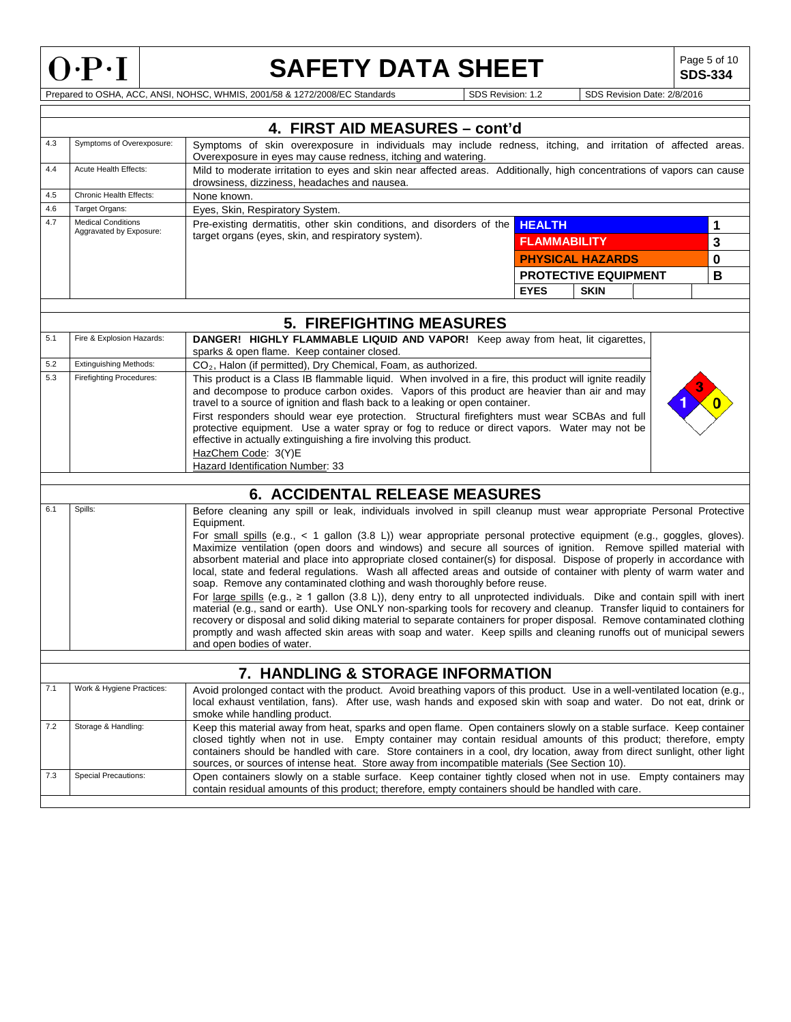

**SDS-334**

|            |                                           | 4. FIRST AID MEASURES - cont'd                                                                                                                                                                                                                                                                                                                                                                                                                                                                                                                                                                                                                                                                                                                                                                                                                                                                                                                                                                                                                                                                                                                                                                                                                      |                     |                             |  |   |  |  |  |
|------------|-------------------------------------------|-----------------------------------------------------------------------------------------------------------------------------------------------------------------------------------------------------------------------------------------------------------------------------------------------------------------------------------------------------------------------------------------------------------------------------------------------------------------------------------------------------------------------------------------------------------------------------------------------------------------------------------------------------------------------------------------------------------------------------------------------------------------------------------------------------------------------------------------------------------------------------------------------------------------------------------------------------------------------------------------------------------------------------------------------------------------------------------------------------------------------------------------------------------------------------------------------------------------------------------------------------|---------------------|-----------------------------|--|---|--|--|--|
| 4.3        | Symptoms of Overexposure:                 | Symptoms of skin overexposure in individuals may include redness, itching, and irritation of affected areas.                                                                                                                                                                                                                                                                                                                                                                                                                                                                                                                                                                                                                                                                                                                                                                                                                                                                                                                                                                                                                                                                                                                                        |                     |                             |  |   |  |  |  |
| 4.4        | Acute Health Effects:                     | Overexposure in eyes may cause redness, itching and watering.<br>Mild to moderate irritation to eyes and skin near affected areas. Additionally, high concentrations of vapors can cause                                                                                                                                                                                                                                                                                                                                                                                                                                                                                                                                                                                                                                                                                                                                                                                                                                                                                                                                                                                                                                                            |                     |                             |  |   |  |  |  |
|            |                                           | drowsiness, dizziness, headaches and nausea.                                                                                                                                                                                                                                                                                                                                                                                                                                                                                                                                                                                                                                                                                                                                                                                                                                                                                                                                                                                                                                                                                                                                                                                                        |                     |                             |  |   |  |  |  |
| 4.5<br>4.6 | Chronic Health Effects:<br>Target Organs: | None known.                                                                                                                                                                                                                                                                                                                                                                                                                                                                                                                                                                                                                                                                                                                                                                                                                                                                                                                                                                                                                                                                                                                                                                                                                                         |                     |                             |  |   |  |  |  |
| 4.7        | <b>Medical Conditions</b>                 | Eyes, Skin, Respiratory System.<br>Pre-existing dermatitis, other skin conditions, and disorders of the                                                                                                                                                                                                                                                                                                                                                                                                                                                                                                                                                                                                                                                                                                                                                                                                                                                                                                                                                                                                                                                                                                                                             |                     |                             |  |   |  |  |  |
|            | Aggravated by Exposure:                   | target organs (eyes, skin, and respiratory system).                                                                                                                                                                                                                                                                                                                                                                                                                                                                                                                                                                                                                                                                                                                                                                                                                                                                                                                                                                                                                                                                                                                                                                                                 | <b>HEALTH</b>       |                             |  | 1 |  |  |  |
|            |                                           |                                                                                                                                                                                                                                                                                                                                                                                                                                                                                                                                                                                                                                                                                                                                                                                                                                                                                                                                                                                                                                                                                                                                                                                                                                                     | <b>FLAMMABILITY</b> |                             |  | 3 |  |  |  |
|            |                                           |                                                                                                                                                                                                                                                                                                                                                                                                                                                                                                                                                                                                                                                                                                                                                                                                                                                                                                                                                                                                                                                                                                                                                                                                                                                     |                     | <b>PHYSICAL HAZARDS</b>     |  | 0 |  |  |  |
|            |                                           |                                                                                                                                                                                                                                                                                                                                                                                                                                                                                                                                                                                                                                                                                                                                                                                                                                                                                                                                                                                                                                                                                                                                                                                                                                                     |                     | <b>PROTECTIVE EQUIPMENT</b> |  | B |  |  |  |
|            |                                           |                                                                                                                                                                                                                                                                                                                                                                                                                                                                                                                                                                                                                                                                                                                                                                                                                                                                                                                                                                                                                                                                                                                                                                                                                                                     | <b>EYES</b>         | <b>SKIN</b>                 |  |   |  |  |  |
|            |                                           |                                                                                                                                                                                                                                                                                                                                                                                                                                                                                                                                                                                                                                                                                                                                                                                                                                                                                                                                                                                                                                                                                                                                                                                                                                                     |                     |                             |  |   |  |  |  |
|            |                                           | <b>5. FIREFIGHTING MEASURES</b>                                                                                                                                                                                                                                                                                                                                                                                                                                                                                                                                                                                                                                                                                                                                                                                                                                                                                                                                                                                                                                                                                                                                                                                                                     |                     |                             |  |   |  |  |  |
| 5.1        | Fire & Explosion Hazards:                 | DANGER! HIGHLY FLAMMABLE LIQUID AND VAPOR! Keep away from heat, lit cigarettes,<br>sparks & open flame. Keep container closed.                                                                                                                                                                                                                                                                                                                                                                                                                                                                                                                                                                                                                                                                                                                                                                                                                                                                                                                                                                                                                                                                                                                      |                     |                             |  |   |  |  |  |
| 5.2        | <b>Extinguishing Methods:</b>             | CO <sub>2</sub> , Halon (if permitted), Dry Chemical, Foam, as authorized.                                                                                                                                                                                                                                                                                                                                                                                                                                                                                                                                                                                                                                                                                                                                                                                                                                                                                                                                                                                                                                                                                                                                                                          |                     |                             |  |   |  |  |  |
| 5.3        | <b>Firefighting Procedures:</b>           | This product is a Class IB flammable liquid. When involved in a fire, this product will ignite readily<br>and decompose to produce carbon oxides. Vapors of this product are heavier than air and may<br>travel to a source of ignition and flash back to a leaking or open container.<br>First responders should wear eye protection. Structural firefighters must wear SCBAs and full<br>protective equipment. Use a water spray or fog to reduce or direct vapors. Water may not be<br>effective in actually extinguishing a fire involving this product.                                                                                                                                                                                                                                                                                                                                                                                                                                                                                                                                                                                                                                                                                        |                     |                             |  |   |  |  |  |
|            |                                           | HazChem Code: 3(Y)E<br>Hazard Identification Number: 33                                                                                                                                                                                                                                                                                                                                                                                                                                                                                                                                                                                                                                                                                                                                                                                                                                                                                                                                                                                                                                                                                                                                                                                             |                     |                             |  |   |  |  |  |
|            |                                           |                                                                                                                                                                                                                                                                                                                                                                                                                                                                                                                                                                                                                                                                                                                                                                                                                                                                                                                                                                                                                                                                                                                                                                                                                                                     |                     |                             |  |   |  |  |  |
|            |                                           | <b>6. ACCIDENTAL RELEASE MEASURES</b>                                                                                                                                                                                                                                                                                                                                                                                                                                                                                                                                                                                                                                                                                                                                                                                                                                                                                                                                                                                                                                                                                                                                                                                                               |                     |                             |  |   |  |  |  |
| 6.1        | Spills:                                   | Before cleaning any spill or leak, individuals involved in spill cleanup must wear appropriate Personal Protective<br>Equipment.<br>For small spills (e.g., < 1 gallon (3.8 L)) wear appropriate personal protective equipment (e.g., goggles, gloves).<br>Maximize ventilation (open doors and windows) and secure all sources of ignition. Remove spilled material with<br>absorbent material and place into appropriate closed container(s) for disposal. Dispose of properly in accordance with<br>local, state and federal regulations. Wash all affected areas and outside of container with plenty of warm water and<br>soap. Remove any contaminated clothing and wash thoroughly before reuse.<br>For large spills (e.g., $\geq 1$ gallon (3.8 L)), deny entry to all unprotected individuals. Dike and contain spill with inert<br>material (e.g., sand or earth). Use ONLY non-sparking tools for recovery and cleanup. Transfer liquid to containers for<br>recovery or disposal and solid diking material to separate containers for proper disposal. Remove contaminated clothing<br>promptly and wash affected skin areas with soap and water. Keep spills and cleaning runoffs out of municipal sewers<br>and open bodies of water. |                     |                             |  |   |  |  |  |
|            |                                           | 7. HANDLING & STORAGE INFORMATION                                                                                                                                                                                                                                                                                                                                                                                                                                                                                                                                                                                                                                                                                                                                                                                                                                                                                                                                                                                                                                                                                                                                                                                                                   |                     |                             |  |   |  |  |  |
| 7.1        | Work & Hygiene Practices:                 | Avoid prolonged contact with the product. Avoid breathing vapors of this product. Use in a well-ventilated location (e.g.,<br>local exhaust ventilation, fans). After use, wash hands and exposed skin with soap and water. Do not eat, drink or<br>smoke while handling product.                                                                                                                                                                                                                                                                                                                                                                                                                                                                                                                                                                                                                                                                                                                                                                                                                                                                                                                                                                   |                     |                             |  |   |  |  |  |
| 7.2        | Storage & Handling:                       | Keep this material away from heat, sparks and open flame. Open containers slowly on a stable surface. Keep container<br>closed tightly when not in use. Empty container may contain residual amounts of this product; therefore, empty<br>containers should be handled with care. Store containers in a cool, dry location, away from direct sunlight, other light<br>sources, or sources of intense heat. Store away from incompatible materials (See Section 10).                                                                                                                                                                                                                                                                                                                                                                                                                                                                                                                                                                                                                                                                                                                                                                                 |                     |                             |  |   |  |  |  |
| 7.3        | Special Precautions:                      | Open containers slowly on a stable surface. Keep container tightly closed when not in use. Empty containers may<br>contain residual amounts of this product; therefore, empty containers should be handled with care.                                                                                                                                                                                                                                                                                                                                                                                                                                                                                                                                                                                                                                                                                                                                                                                                                                                                                                                                                                                                                               |                     |                             |  |   |  |  |  |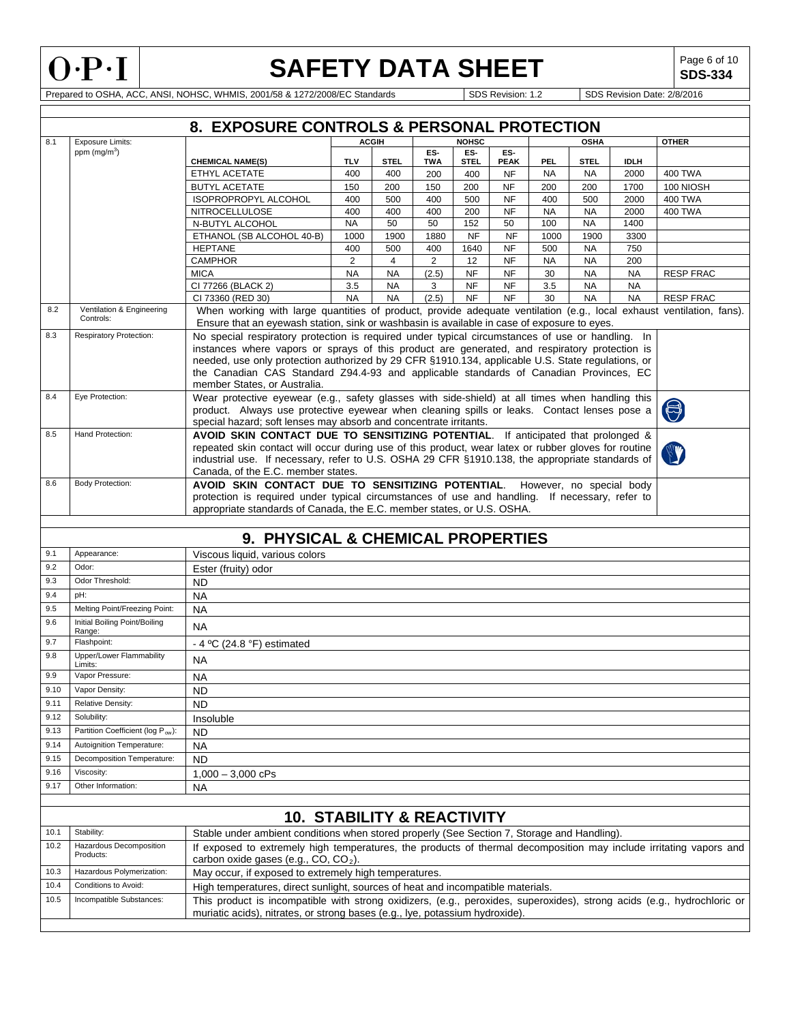

**SDS-334**

|      | 8. EXPOSURE CONTROLS & PERSONAL PROTECTION |                                                                                                                                                                                                                                                                                                                                                                                                                                 |                                                                                                                                                                                                                                                                                                                                   |                        |                   |                    |                        |            |                        |                        |                  |
|------|--------------------------------------------|---------------------------------------------------------------------------------------------------------------------------------------------------------------------------------------------------------------------------------------------------------------------------------------------------------------------------------------------------------------------------------------------------------------------------------|-----------------------------------------------------------------------------------------------------------------------------------------------------------------------------------------------------------------------------------------------------------------------------------------------------------------------------------|------------------------|-------------------|--------------------|------------------------|------------|------------------------|------------------------|------------------|
| 8.1  | <b>Exposure Limits:</b>                    |                                                                                                                                                                                                                                                                                                                                                                                                                                 |                                                                                                                                                                                                                                                                                                                                   | <b>ACGIH</b>           |                   | <b>NOHSC</b>       |                        |            | <b>OSHA</b>            |                        | <b>OTHER</b>     |
|      | ppm $(mg/m3)$                              | <b>CHEMICAL NAME(S)</b>                                                                                                                                                                                                                                                                                                                                                                                                         | <b>TLV</b>                                                                                                                                                                                                                                                                                                                        | <b>STEL</b>            | ES-<br><b>TWA</b> | ES-<br><b>STEL</b> | ES-<br><b>PEAK</b>     | <b>PEL</b> | <b>STEL</b>            | <b>IDLH</b>            |                  |
|      |                                            | ETHYL ACETATE                                                                                                                                                                                                                                                                                                                                                                                                                   | 400                                                                                                                                                                                                                                                                                                                               | 400                    | 200               | 400                | <b>NF</b>              | <b>NA</b>  | <b>NA</b>              | 2000                   | <b>400 TWA</b>   |
|      |                                            | <b>BUTYL ACETATE</b>                                                                                                                                                                                                                                                                                                                                                                                                            | 150                                                                                                                                                                                                                                                                                                                               | 200                    | 150               | 200                | <b>NF</b>              | 200        | 200                    | 1700                   | 100 NIOSH        |
|      |                                            | ISOPROPROPYL ALCOHOL                                                                                                                                                                                                                                                                                                                                                                                                            | 400                                                                                                                                                                                                                                                                                                                               | 500                    | 400               | 500                | <b>NF</b>              | 400        | 500                    | 2000                   | <b>400 TWA</b>   |
|      |                                            | <b>NITROCELLULOSE</b>                                                                                                                                                                                                                                                                                                                                                                                                           | 400                                                                                                                                                                                                                                                                                                                               | 400                    | 400               | 200                | <b>NF</b>              | <b>NA</b>  | <b>NA</b>              | 2000                   | <b>400 TWA</b>   |
|      |                                            | N-BUTYL ALCOHOL                                                                                                                                                                                                                                                                                                                                                                                                                 | <b>NA</b>                                                                                                                                                                                                                                                                                                                         | 50                     | 50                | 152                | 50                     | 100        | <b>NA</b>              | 1400                   |                  |
|      |                                            | ETHANOL (SB ALCOHOL 40-B)                                                                                                                                                                                                                                                                                                                                                                                                       | 1000                                                                                                                                                                                                                                                                                                                              | 1900                   | 1880              | <b>NF</b>          | <b>NF</b>              | 1000       | 1900                   | 3300                   |                  |
|      |                                            | <b>HEPTANE</b>                                                                                                                                                                                                                                                                                                                                                                                                                  | 400                                                                                                                                                                                                                                                                                                                               | 500                    | 400               | 1640               | <b>NF</b>              | 500        | <b>NA</b>              | 750                    |                  |
|      |                                            | <b>CAMPHOR</b><br><b>MICA</b>                                                                                                                                                                                                                                                                                                                                                                                                   | $\overline{2}$                                                                                                                                                                                                                                                                                                                    | $\overline{4}$         | 2                 | 12<br><b>NF</b>    | <b>NF</b><br><b>NF</b> | <b>NA</b>  | <b>NA</b><br><b>NA</b> | 200                    |                  |
|      |                                            | CI 77266 (BLACK 2)                                                                                                                                                                                                                                                                                                                                                                                                              | <b>NA</b><br>3.5                                                                                                                                                                                                                                                                                                                  | <b>NA</b><br><b>NA</b> | (2.5)<br>3        | <b>NF</b>          | <b>NF</b>              | 30<br>3.5  | <b>NA</b>              | <b>NA</b><br><b>NA</b> | <b>RESP FRAC</b> |
|      |                                            | CI 73360 (RED 30)                                                                                                                                                                                                                                                                                                                                                                                                               | <b>NA</b>                                                                                                                                                                                                                                                                                                                         | <b>NA</b>              | (2.5)             | <b>NF</b>          | <b>NF</b>              | 30         | <b>NA</b>              | <b>NA</b>              | <b>RESP FRAC</b> |
| 8.2  | Ventilation & Engineering<br>Controls:     | When working with large quantities of product, provide adequate ventilation (e.g., local exhaust ventilation, fans).<br>Ensure that an eyewash station, sink or washbasin is available in case of exposure to eyes.                                                                                                                                                                                                             |                                                                                                                                                                                                                                                                                                                                   |                        |                   |                    |                        |            |                        |                        |                  |
| 8.3  | <b>Respiratory Protection:</b>             | No special respiratory protection is required under typical circumstances of use or handling. In<br>instances where vapors or sprays of this product are generated, and respiratory protection is<br>needed, use only protection authorized by 29 CFR §1910.134, applicable U.S. State regulations, or<br>the Canadian CAS Standard Z94.4-93 and applicable standards of Canadian Provinces, EC<br>member States, or Australia. |                                                                                                                                                                                                                                                                                                                                   |                        |                   |                    |                        |            |                        |                        |                  |
| 8.4  | Eye Protection:                            | Wear protective eyewear (e.g., safety glasses with side-shield) at all times when handling this<br>product. Always use protective eyewear when cleaning spills or leaks. Contact lenses pose a<br>special hazard; soft lenses may absorb and concentrate irritants.                                                                                                                                                             |                                                                                                                                                                                                                                                                                                                                   |                        |                   |                    |                        |            |                        |                        | $\Theta$         |
| 8.5  | Hand Protection:                           |                                                                                                                                                                                                                                                                                                                                                                                                                                 | AVOID SKIN CONTACT DUE TO SENSITIZING POTENTIAL. If anticipated that prolonged &<br>repeated skin contact will occur during use of this product, wear latex or rubber gloves for routine<br>industrial use. If necessary, refer to U.S. OSHA 29 CFR §1910.138, the appropriate standards of<br>Canada, of the E.C. member states. |                        |                   |                    |                        |            |                        |                        |                  |
| 8.6  | <b>Body Protection:</b>                    | AVOID SKIN CONTACT DUE TO SENSITIZING POTENTIAL. However, no special body<br>protection is required under typical circumstances of use and handling. If necessary, refer to<br>appropriate standards of Canada, the E.C. member states, or U.S. OSHA.                                                                                                                                                                           |                                                                                                                                                                                                                                                                                                                                   |                        |                   |                    |                        |            |                        |                        |                  |
|      |                                            |                                                                                                                                                                                                                                                                                                                                                                                                                                 |                                                                                                                                                                                                                                                                                                                                   |                        |                   |                    |                        |            |                        |                        |                  |
|      |                                            | 9. PHYSICAL & CHEMICAL PROPERTIES                                                                                                                                                                                                                                                                                                                                                                                               |                                                                                                                                                                                                                                                                                                                                   |                        |                   |                    |                        |            |                        |                        |                  |
| 9.1  | Appearance:                                | Viscous liquid, various colors                                                                                                                                                                                                                                                                                                                                                                                                  |                                                                                                                                                                                                                                                                                                                                   |                        |                   |                    |                        |            |                        |                        |                  |
| 9.2  | Odor:                                      | Ester (fruity) odor                                                                                                                                                                                                                                                                                                                                                                                                             |                                                                                                                                                                                                                                                                                                                                   |                        |                   |                    |                        |            |                        |                        |                  |
| 9.3  | Odor Threshold:                            | <b>ND</b>                                                                                                                                                                                                                                                                                                                                                                                                                       |                                                                                                                                                                                                                                                                                                                                   |                        |                   |                    |                        |            |                        |                        |                  |
| 9.4  | pH:                                        | <b>NA</b>                                                                                                                                                                                                                                                                                                                                                                                                                       |                                                                                                                                                                                                                                                                                                                                   |                        |                   |                    |                        |            |                        |                        |                  |
| 9.5  | Melting Point/Freezing Point:              | <b>NA</b>                                                                                                                                                                                                                                                                                                                                                                                                                       |                                                                                                                                                                                                                                                                                                                                   |                        |                   |                    |                        |            |                        |                        |                  |
| 9.6  | Initial Boiling Point/Boiling<br>Range:    | <b>NA</b>                                                                                                                                                                                                                                                                                                                                                                                                                       |                                                                                                                                                                                                                                                                                                                                   |                        |                   |                    |                        |            |                        |                        |                  |
| 9.7  | Flashpoint:                                | - 4 °C (24.8 °F) estimated                                                                                                                                                                                                                                                                                                                                                                                                      |                                                                                                                                                                                                                                                                                                                                   |                        |                   |                    |                        |            |                        |                        |                  |
| 9.8  | Upper/Lower Flammability                   | <b>NA</b>                                                                                                                                                                                                                                                                                                                                                                                                                       |                                                                                                                                                                                                                                                                                                                                   |                        |                   |                    |                        |            |                        |                        |                  |
| 9.9  | Limits:<br>Vapor Pressure:                 | <b>NA</b>                                                                                                                                                                                                                                                                                                                                                                                                                       |                                                                                                                                                                                                                                                                                                                                   |                        |                   |                    |                        |            |                        |                        |                  |
| 9.10 | Vapor Density:                             | <b>ND</b>                                                                                                                                                                                                                                                                                                                                                                                                                       |                                                                                                                                                                                                                                                                                                                                   |                        |                   |                    |                        |            |                        |                        |                  |
| 9.11 | Relative Density:                          | <b>ND</b>                                                                                                                                                                                                                                                                                                                                                                                                                       |                                                                                                                                                                                                                                                                                                                                   |                        |                   |                    |                        |            |                        |                        |                  |
| 9.12 | Solubility:                                | Insoluble                                                                                                                                                                                                                                                                                                                                                                                                                       |                                                                                                                                                                                                                                                                                                                                   |                        |                   |                    |                        |            |                        |                        |                  |
| 9.13 | Partition Coefficient (log Pow):           | <b>ND</b>                                                                                                                                                                                                                                                                                                                                                                                                                       |                                                                                                                                                                                                                                                                                                                                   |                        |                   |                    |                        |            |                        |                        |                  |
| 9.14 | Autoignition Temperature:                  | <b>NA</b>                                                                                                                                                                                                                                                                                                                                                                                                                       |                                                                                                                                                                                                                                                                                                                                   |                        |                   |                    |                        |            |                        |                        |                  |
| 9.15 | Decomposition Temperature:                 | <b>ND</b>                                                                                                                                                                                                                                                                                                                                                                                                                       |                                                                                                                                                                                                                                                                                                                                   |                        |                   |                    |                        |            |                        |                        |                  |
| 9.16 | Viscosity:                                 | $1,000 - 3,000$ cPs                                                                                                                                                                                                                                                                                                                                                                                                             |                                                                                                                                                                                                                                                                                                                                   |                        |                   |                    |                        |            |                        |                        |                  |
| 9.17 | Other Information:                         | <b>NA</b>                                                                                                                                                                                                                                                                                                                                                                                                                       |                                                                                                                                                                                                                                                                                                                                   |                        |                   |                    |                        |            |                        |                        |                  |
|      |                                            |                                                                                                                                                                                                                                                                                                                                                                                                                                 |                                                                                                                                                                                                                                                                                                                                   |                        |                   |                    |                        |            |                        |                        |                  |
|      |                                            | <b>10. STABILITY &amp; REACTIVITY</b>                                                                                                                                                                                                                                                                                                                                                                                           |                                                                                                                                                                                                                                                                                                                                   |                        |                   |                    |                        |            |                        |                        |                  |
| 10.1 | Stability:                                 | Stable under ambient conditions when stored properly (See Section 7, Storage and Handling).                                                                                                                                                                                                                                                                                                                                     |                                                                                                                                                                                                                                                                                                                                   |                        |                   |                    |                        |            |                        |                        |                  |
| 10.2 | Hazardous Decomposition<br>Products:       | If exposed to extremely high temperatures, the products of thermal decomposition may include irritating vapors and<br>carbon oxide gases (e.g., CO, CO <sub>2</sub> ).                                                                                                                                                                                                                                                          |                                                                                                                                                                                                                                                                                                                                   |                        |                   |                    |                        |            |                        |                        |                  |
| 10.3 | Hazardous Polymerization:                  | May occur, if exposed to extremely high temperatures.                                                                                                                                                                                                                                                                                                                                                                           |                                                                                                                                                                                                                                                                                                                                   |                        |                   |                    |                        |            |                        |                        |                  |
| 10.4 | Conditions to Avoid:                       | High temperatures, direct sunlight, sources of heat and incompatible materials.                                                                                                                                                                                                                                                                                                                                                 |                                                                                                                                                                                                                                                                                                                                   |                        |                   |                    |                        |            |                        |                        |                  |
| 10.5 | Incompatible Substances:                   | This product is incompatible with strong oxidizers, (e.g., peroxides, superoxides), strong acids (e.g., hydrochloric or<br>muriatic acids), nitrates, or strong bases (e.g., Iye, potassium hydroxide).                                                                                                                                                                                                                         |                                                                                                                                                                                                                                                                                                                                   |                        |                   |                    |                        |            |                        |                        |                  |
|      |                                            |                                                                                                                                                                                                                                                                                                                                                                                                                                 |                                                                                                                                                                                                                                                                                                                                   |                        |                   |                    |                        |            |                        |                        |                  |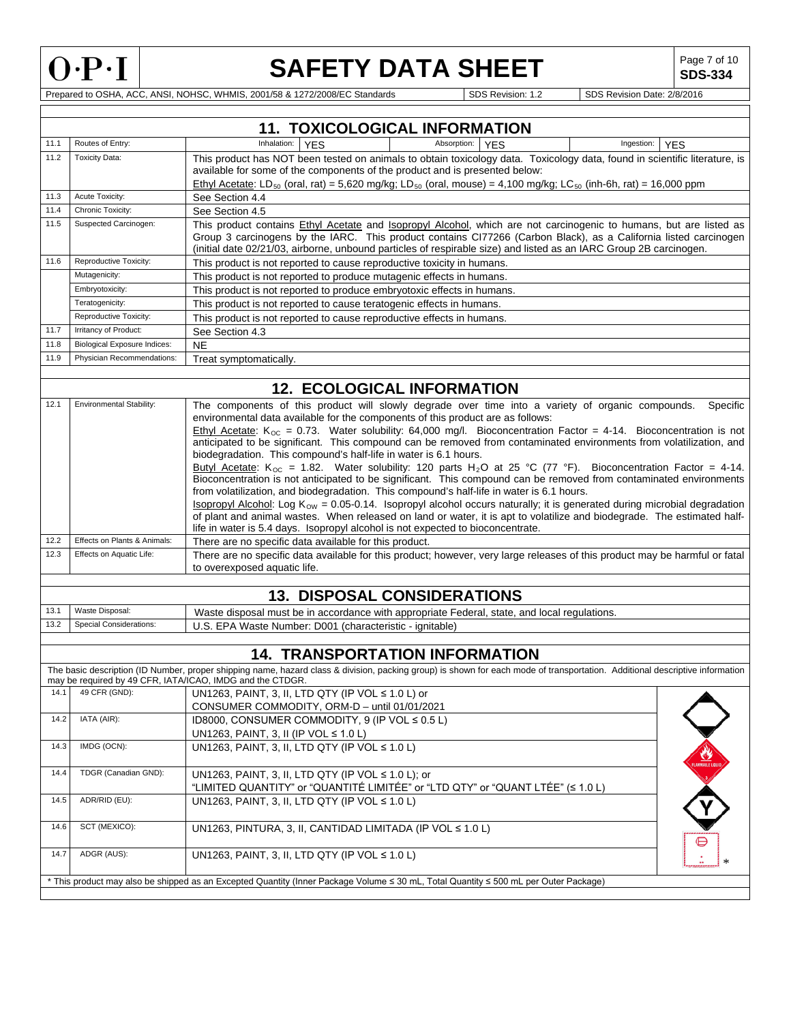

Г

# **SAFETY DATA SHEET**

**SDS-334**

|      |                                     | <b>11. TOXICOLOGICAL INFORMATION</b>                                                                                                                                                                                                                                                                                                                                                                                                                                                                                                                                                                                                                                                                                   |
|------|-------------------------------------|------------------------------------------------------------------------------------------------------------------------------------------------------------------------------------------------------------------------------------------------------------------------------------------------------------------------------------------------------------------------------------------------------------------------------------------------------------------------------------------------------------------------------------------------------------------------------------------------------------------------------------------------------------------------------------------------------------------------|
| 11.1 | Routes of Entry:                    | Inhalation:<br>Absorption:<br><b>YES</b><br><b>YES</b><br>Ingestion:<br><b>YES</b>                                                                                                                                                                                                                                                                                                                                                                                                                                                                                                                                                                                                                                     |
| 11.2 | <b>Toxicity Data:</b>               | This product has NOT been tested on animals to obtain toxicology data. Toxicology data, found in scientific literature, is<br>available for some of the components of the product and is presented below:<br>Ethyl Acetate: LD <sub>50</sub> (oral, rat) = 5,620 mg/kg; LD <sub>50</sub> (oral, mouse) = 4,100 mg/kg; LC <sub>50</sub> (inh-6h, rat) = 16,000 ppm                                                                                                                                                                                                                                                                                                                                                      |
| 11.3 | Acute Toxicity:                     | See Section 4.4                                                                                                                                                                                                                                                                                                                                                                                                                                                                                                                                                                                                                                                                                                        |
| 11.4 | Chronic Toxicity:                   | See Section 4.5                                                                                                                                                                                                                                                                                                                                                                                                                                                                                                                                                                                                                                                                                                        |
| 11.5 | Suspected Carcinogen:               | This product contains Ethyl Acetate and Isopropyl Alcohol, which are not carcinogenic to humans, but are listed as<br>Group 3 carcinogens by the IARC. This product contains CI77266 (Carbon Black), as a California listed carcinogen<br>(initial date 02/21/03, airborne, unbound particles of respirable size) and listed as an IARC Group 2B carcinogen.                                                                                                                                                                                                                                                                                                                                                           |
| 11.6 | Reproductive Toxicity:              | This product is not reported to cause reproductive toxicity in humans.                                                                                                                                                                                                                                                                                                                                                                                                                                                                                                                                                                                                                                                 |
|      | Mutagenicity:                       | This product is not reported to produce mutagenic effects in humans.                                                                                                                                                                                                                                                                                                                                                                                                                                                                                                                                                                                                                                                   |
|      | Embryotoxicity:                     | This product is not reported to produce embryotoxic effects in humans.                                                                                                                                                                                                                                                                                                                                                                                                                                                                                                                                                                                                                                                 |
|      | Teratogenicity:                     | This product is not reported to cause teratogenic effects in humans.                                                                                                                                                                                                                                                                                                                                                                                                                                                                                                                                                                                                                                                   |
|      | Reproductive Toxicity:              | This product is not reported to cause reproductive effects in humans.                                                                                                                                                                                                                                                                                                                                                                                                                                                                                                                                                                                                                                                  |
| 11.7 | Irritancy of Product:               | See Section 4.3                                                                                                                                                                                                                                                                                                                                                                                                                                                                                                                                                                                                                                                                                                        |
| 11.8 | <b>Biological Exposure Indices:</b> | <b>NE</b>                                                                                                                                                                                                                                                                                                                                                                                                                                                                                                                                                                                                                                                                                                              |
| 11.9 | Physician Recommendations:          | Treat symptomatically.                                                                                                                                                                                                                                                                                                                                                                                                                                                                                                                                                                                                                                                                                                 |
|      |                                     | <b>12. ECOLOGICAL INFORMATION</b>                                                                                                                                                                                                                                                                                                                                                                                                                                                                                                                                                                                                                                                                                      |
|      |                                     |                                                                                                                                                                                                                                                                                                                                                                                                                                                                                                                                                                                                                                                                                                                        |
| 12.1 | <b>Environmental Stability:</b>     | The components of this product will slowly degrade over time into a variety of organic compounds.<br>Specific<br>environmental data available for the components of this product are as follows:<br>Ethyl Acetate: $K_{\text{OC}} = 0.73$ . Water solubility: 64,000 mg/l. Bioconcentration Factor = 4-14. Bioconcentration is not<br>anticipated to be significant. This compound can be removed from contaminated environments from volatilization, and<br>biodegradation. This compound's half-life in water is 6.1 hours.                                                                                                                                                                                          |
|      |                                     | Butyl Acetate: K <sub>oc</sub> = 1.82. Water solubility: 120 parts H <sub>2</sub> O at 25 °C (77 °F). Bioconcentration Factor = 4-14.<br>Bioconcentration is not anticipated to be significant. This compound can be removed from contaminated environments<br>from volatilization, and biodegradation. This compound's half-life in water is 6.1 hours.<br><b>Isopropyl Alcohol:</b> Log $K_{\text{OW}} = 0.05$ -0.14. Isopropyl alcohol occurs naturally; it is generated during microbial degradation<br>of plant and animal wastes. When released on land or water, it is apt to volatilize and biodegrade. The estimated half-<br>life in water is 5.4 days. Isopropyl alcohol is not expected to bioconcentrate. |
| 12.2 | Effects on Plants & Animals:        | There are no specific data available for this product.                                                                                                                                                                                                                                                                                                                                                                                                                                                                                                                                                                                                                                                                 |
| 12.3 | Effects on Aquatic Life:            | There are no specific data available for this product; however, very large releases of this product may be harmful or fatal<br>to overexposed aquatic life.                                                                                                                                                                                                                                                                                                                                                                                                                                                                                                                                                            |
|      |                                     | 13. DISPOSAL CONSIDERATIONS                                                                                                                                                                                                                                                                                                                                                                                                                                                                                                                                                                                                                                                                                            |
| 13.1 | Waste Disposal:                     | Waste disposal must be in accordance with appropriate Federal, state, and local regulations.                                                                                                                                                                                                                                                                                                                                                                                                                                                                                                                                                                                                                           |
| 13.2 | <b>Special Considerations:</b>      | U.S. EPA Waste Number: D001 (characteristic - ignitable)                                                                                                                                                                                                                                                                                                                                                                                                                                                                                                                                                                                                                                                               |
|      |                                     |                                                                                                                                                                                                                                                                                                                                                                                                                                                                                                                                                                                                                                                                                                                        |
|      |                                     | <b>14. TRANSPORTATION INFORMATION</b>                                                                                                                                                                                                                                                                                                                                                                                                                                                                                                                                                                                                                                                                                  |
|      |                                     | The basic description (ID Number, proper shipping name, hazard class & division, packing group) is shown for each mode of transportation. Additional descriptive information<br>may be required by 49 CFR, IATA/ICAO, IMDG and the CTDGR.                                                                                                                                                                                                                                                                                                                                                                                                                                                                              |
|      | 14.1 49 CFR (GND):                  | UN1263, PAINT, 3, II, LTD QTY (IP VOL ≤ 1.0 L) or                                                                                                                                                                                                                                                                                                                                                                                                                                                                                                                                                                                                                                                                      |
|      |                                     | CONSUMER COMMODITY, ORM-D - until 01/01/2021                                                                                                                                                                                                                                                                                                                                                                                                                                                                                                                                                                                                                                                                           |
| 14.2 | IATA (AIR):                         | ID8000, CONSUMER COMMODITY, 9 (IP VOL ≤ 0.5 L)                                                                                                                                                                                                                                                                                                                                                                                                                                                                                                                                                                                                                                                                         |
|      |                                     | UN1263, PAINT, 3, II (IP VOL ≤ 1.0 L)                                                                                                                                                                                                                                                                                                                                                                                                                                                                                                                                                                                                                                                                                  |
| 14.3 | IMDG (OCN):                         | UN1263, PAINT, 3, II, LTD QTY (IP VOL ≤ 1.0 L)<br><b>CAMBRE LIP</b>                                                                                                                                                                                                                                                                                                                                                                                                                                                                                                                                                                                                                                                    |
| 14.4 | TDGR (Canadian GND):                | UN1263, PAINT, 3, II, LTD QTY (IP VOL ≤ 1.0 L); or<br>"LIMITED QUANTITY" or "QUANTITÉ LIMITÉE" or "LTD QTY" or "QUANT LTÉE" (≤ 1.0 L)                                                                                                                                                                                                                                                                                                                                                                                                                                                                                                                                                                                  |
| 14.5 | ADR/RID (EU):                       | UN1263, PAINT, 3, II, LTD QTY (IP VOL ≤ 1.0 L)                                                                                                                                                                                                                                                                                                                                                                                                                                                                                                                                                                                                                                                                         |
| 14.6 | SCT (MEXICO):                       | UN1263, PINTURA, 3, II, CANTIDAD LIMITADA (IP VOL ≤ 1.0 L)                                                                                                                                                                                                                                                                                                                                                                                                                                                                                                                                                                                                                                                             |
| 14.7 | ADGR (AUS):                         | UN1263, PAINT, 3, II, LTD QTY (IP VOL ≤ 1.0 L)                                                                                                                                                                                                                                                                                                                                                                                                                                                                                                                                                                                                                                                                         |
|      |                                     | * This product may also be shipped as an Excepted Quantity (Inner Package Volume ≤ 30 mL, Total Quantity ≤ 500 mL per Outer Package)                                                                                                                                                                                                                                                                                                                                                                                                                                                                                                                                                                                   |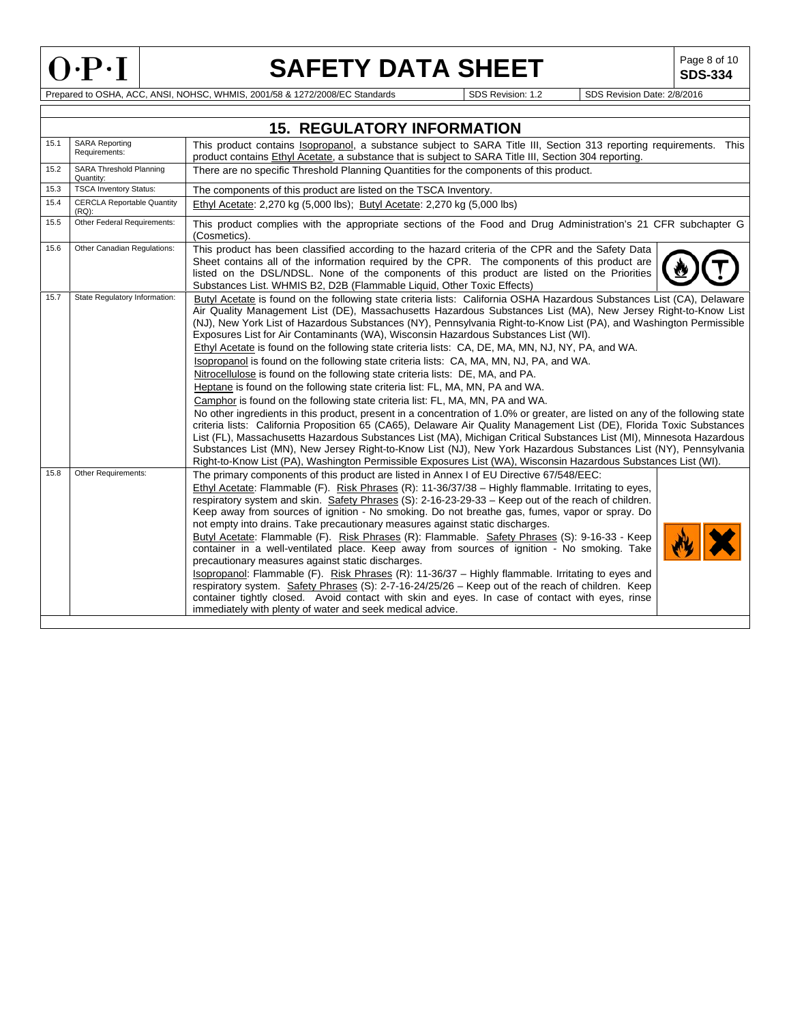

# **SAFETY DATA SHEET**<br>1/5B & 1272/2008/EC Standards<br>1/5DS Revision: 1.2 SDS Revision Date: 2/8/2016

**SDS-334**

|      |                                               | <b>15. REGULATORY INFORMATION</b>                                                                                                                                                                                                                                                                                                                                                                                                                                                                                                                                                                                                                                                                                                                                                                                                                                                                                                                                                                                                                                                                                                                                                                                                                                                                                                                                                                                                                                                                                               |
|------|-----------------------------------------------|---------------------------------------------------------------------------------------------------------------------------------------------------------------------------------------------------------------------------------------------------------------------------------------------------------------------------------------------------------------------------------------------------------------------------------------------------------------------------------------------------------------------------------------------------------------------------------------------------------------------------------------------------------------------------------------------------------------------------------------------------------------------------------------------------------------------------------------------------------------------------------------------------------------------------------------------------------------------------------------------------------------------------------------------------------------------------------------------------------------------------------------------------------------------------------------------------------------------------------------------------------------------------------------------------------------------------------------------------------------------------------------------------------------------------------------------------------------------------------------------------------------------------------|
| 15.1 | <b>SARA Reporting</b><br>Requirements:        | This product contains Isopropanol, a substance subject to SARA Title III, Section 313 reporting requirements. This<br>product contains Ethyl Acetate, a substance that is subject to SARA Title III, Section 304 reporting.                                                                                                                                                                                                                                                                                                                                                                                                                                                                                                                                                                                                                                                                                                                                                                                                                                                                                                                                                                                                                                                                                                                                                                                                                                                                                                     |
| 15.2 | <b>SARA Threshold Planning</b><br>Quantity:   | There are no specific Threshold Planning Quantities for the components of this product.                                                                                                                                                                                                                                                                                                                                                                                                                                                                                                                                                                                                                                                                                                                                                                                                                                                                                                                                                                                                                                                                                                                                                                                                                                                                                                                                                                                                                                         |
| 15.3 | <b>TSCA Inventory Status:</b>                 | The components of this product are listed on the TSCA Inventory.                                                                                                                                                                                                                                                                                                                                                                                                                                                                                                                                                                                                                                                                                                                                                                                                                                                                                                                                                                                                                                                                                                                                                                                                                                                                                                                                                                                                                                                                |
| 15.4 | <b>CERCLA Reportable Quantity</b><br>$(RQ)$ : | Ethyl Acetate: 2,270 kg (5,000 lbs); Butyl Acetate: 2,270 kg (5,000 lbs)                                                                                                                                                                                                                                                                                                                                                                                                                                                                                                                                                                                                                                                                                                                                                                                                                                                                                                                                                                                                                                                                                                                                                                                                                                                                                                                                                                                                                                                        |
| 15.5 | Other Federal Requirements:                   | This product complies with the appropriate sections of the Food and Drug Administration's 21 CFR subchapter G<br>(Cosmetics).                                                                                                                                                                                                                                                                                                                                                                                                                                                                                                                                                                                                                                                                                                                                                                                                                                                                                                                                                                                                                                                                                                                                                                                                                                                                                                                                                                                                   |
| 15.6 | Other Canadian Regulations:                   | This product has been classified according to the hazard criteria of the CPR and the Safety Data<br>Sheet contains all of the information required by the CPR. The components of this product are<br>listed on the DSL/NDSL. None of the components of this product are listed on the Priorities<br>Substances List. WHMIS B2, D2B (Flammable Liquid, Other Toxic Effects)                                                                                                                                                                                                                                                                                                                                                                                                                                                                                                                                                                                                                                                                                                                                                                                                                                                                                                                                                                                                                                                                                                                                                      |
| 15.7 | State Regulatory Information:                 | Butyl Acetate is found on the following state criteria lists: California OSHA Hazardous Substances List (CA), Delaware<br>Air Quality Management List (DE), Massachusetts Hazardous Substances List (MA), New Jersey Right-to-Know List<br>(NJ), New York List of Hazardous Substances (NY), Pennsylvania Right-to-Know List (PA), and Washington Permissible<br>Exposures List for Air Contaminants (WA), Wisconsin Hazardous Substances List (WI).<br>Ethyl Acetate is found on the following state criteria lists: CA, DE, MA, MN, NJ, NY, PA, and WA.<br>Isopropanol is found on the following state criteria lists: CA, MA, MN, NJ, PA, and WA.<br>Nitrocellulose is found on the following state criteria lists: DE, MA, and PA.<br>Heptane is found on the following state criteria list: FL, MA, MN, PA and WA.<br>Camphor is found on the following state criteria list: FL, MA, MN, PA and WA.<br>No other ingredients in this product, present in a concentration of 1.0% or greater, are listed on any of the following state<br>criteria lists: California Proposition 65 (CA65), Delaware Air Quality Management List (DE), Florida Toxic Substances<br>List (FL), Massachusetts Hazardous Substances List (MA), Michigan Critical Substances List (MI), Minnesota Hazardous<br>Substances List (MN), New Jersey Right-to-Know List (NJ), New York Hazardous Substances List (NY), Pennsylvania<br>Right-to-Know List (PA), Washington Permissible Exposures List (WA), Wisconsin Hazardous Substances List (WI). |
| 15.8 | Other Requirements:                           | The primary components of this product are listed in Annex I of EU Directive 67/548/EEC:<br>Ethyl Acetate: Flammable (F). Risk Phrases (R): 11-36/37/38 - Highly flammable. Irritating to eyes,<br>respiratory system and skin. Safety Phrases (S): 2-16-23-29-33 – Keep out of the reach of children.<br>Keep away from sources of ignition - No smoking. Do not breathe gas, fumes, vapor or spray. Do<br>not empty into drains. Take precautionary measures against static discharges.<br>Butyl Acetate: Flammable (F). Risk Phrases (R): Flammable. Safety Phrases (S): 9-16-33 - Keep<br>container in a well-ventilated place. Keep away from sources of ignition - No smoking. Take<br>precautionary measures against static discharges.<br>Isopropanol: Flammable (F). Risk Phrases (R): 11-36/37 - Highly flammable. Irritating to eyes and<br>respiratory system. Safety Phrases (S): 2-7-16-24/25/26 - Keep out of the reach of children. Keep<br>container tightly closed. Avoid contact with skin and eyes. In case of contact with eyes, rinse<br>immediately with plenty of water and seek medical advice.                                                                                                                                                                                                                                                                                                                                                                                                        |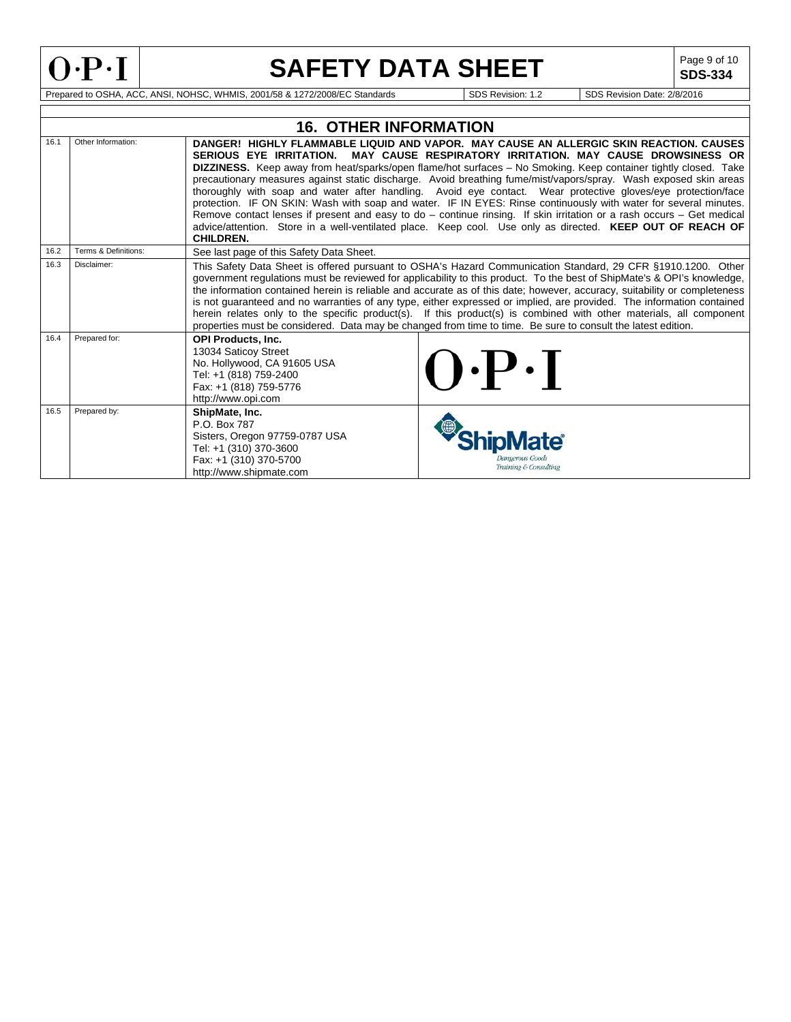

**SDS-334**

|      |                      | 16.  OTHER INFORMATION                                                                                                                                     |                                                                                                                                                                                                                                                                                                                                                                                                                                                                                                                                                                                                                                                                                                                                                                                                                                                                             |
|------|----------------------|------------------------------------------------------------------------------------------------------------------------------------------------------------|-----------------------------------------------------------------------------------------------------------------------------------------------------------------------------------------------------------------------------------------------------------------------------------------------------------------------------------------------------------------------------------------------------------------------------------------------------------------------------------------------------------------------------------------------------------------------------------------------------------------------------------------------------------------------------------------------------------------------------------------------------------------------------------------------------------------------------------------------------------------------------|
| 16.1 | Other Information:   | SERIOUS EYE IRRITATION.<br><b>CHILDREN.</b>                                                                                                                | DANGER! HIGHLY FLAMMABLE LIQUID AND VAPOR. MAY CAUSE AN ALLERGIC SKIN REACTION, CAUSES<br>MAY CAUSE RESPIRATORY IRRITATION. MAY CAUSE DROWSINESS OR<br><b>DIZZINESS.</b> Keep away from heat/sparks/open flame/hot surfaces – No Smoking. Keep container tightly closed. Take<br>precautionary measures against static discharge. Avoid breathing fume/mist/vapors/spray. Wash exposed skin areas<br>thoroughly with soap and water after handling. Avoid eye contact. Wear protective gloves/eye protection/face<br>protection. IF ON SKIN: Wash with soap and water. IF IN EYES: Rinse continuously with water for several minutes.<br>Remove contact lenses if present and easy to do – continue rinsing. If skin irritation or a rash occurs – Get medical<br>advice/attention. Store in a well-ventilated place. Keep cool. Use only as directed. KEEP OUT OF REACH OF |
| 16.2 | Terms & Definitions: | See last page of this Safety Data Sheet.                                                                                                                   |                                                                                                                                                                                                                                                                                                                                                                                                                                                                                                                                                                                                                                                                                                                                                                                                                                                                             |
| 16.3 | Disclaimer:          |                                                                                                                                                            | This Safety Data Sheet is offered pursuant to OSHA's Hazard Communication Standard, 29 CFR §1910.1200. Other<br>government regulations must be reviewed for applicability to this product. To the best of ShipMate's & OPI's knowledge,<br>the information contained herein is reliable and accurate as of this date; however, accuracy, suitability or completeness<br>is not guaranteed and no warranties of any type, either expressed or implied, are provided. The information contained<br>herein relates only to the specific product(s). If this product(s) is combined with other materials, all component<br>properties must be considered. Data may be changed from time to time. Be sure to consult the latest edition.                                                                                                                                         |
| 16.4 | Prepared for:        | <b>OPI Products, Inc.</b><br>13034 Saticoy Street<br>No. Hollywood, CA 91605 USA<br>Tel: +1 (818) 759-2400<br>Fax: +1 (818) 759-5776<br>http://www.opi.com | $\left( \cdot \right)$ .                                                                                                                                                                                                                                                                                                                                                                                                                                                                                                                                                                                                                                                                                                                                                                                                                                                    |
| 16.5 | Prepared by:         | ShipMate, Inc.<br>P.O. Box 787<br>Sisters, Oregon 97759-0787 USA<br>Tel: +1 (310) 370-3600<br>Fax: +1 (310) 370-5700<br>http://www.shipmate.com            | <b>Jangerous Goods</b><br>Training & Consulting                                                                                                                                                                                                                                                                                                                                                                                                                                                                                                                                                                                                                                                                                                                                                                                                                             |